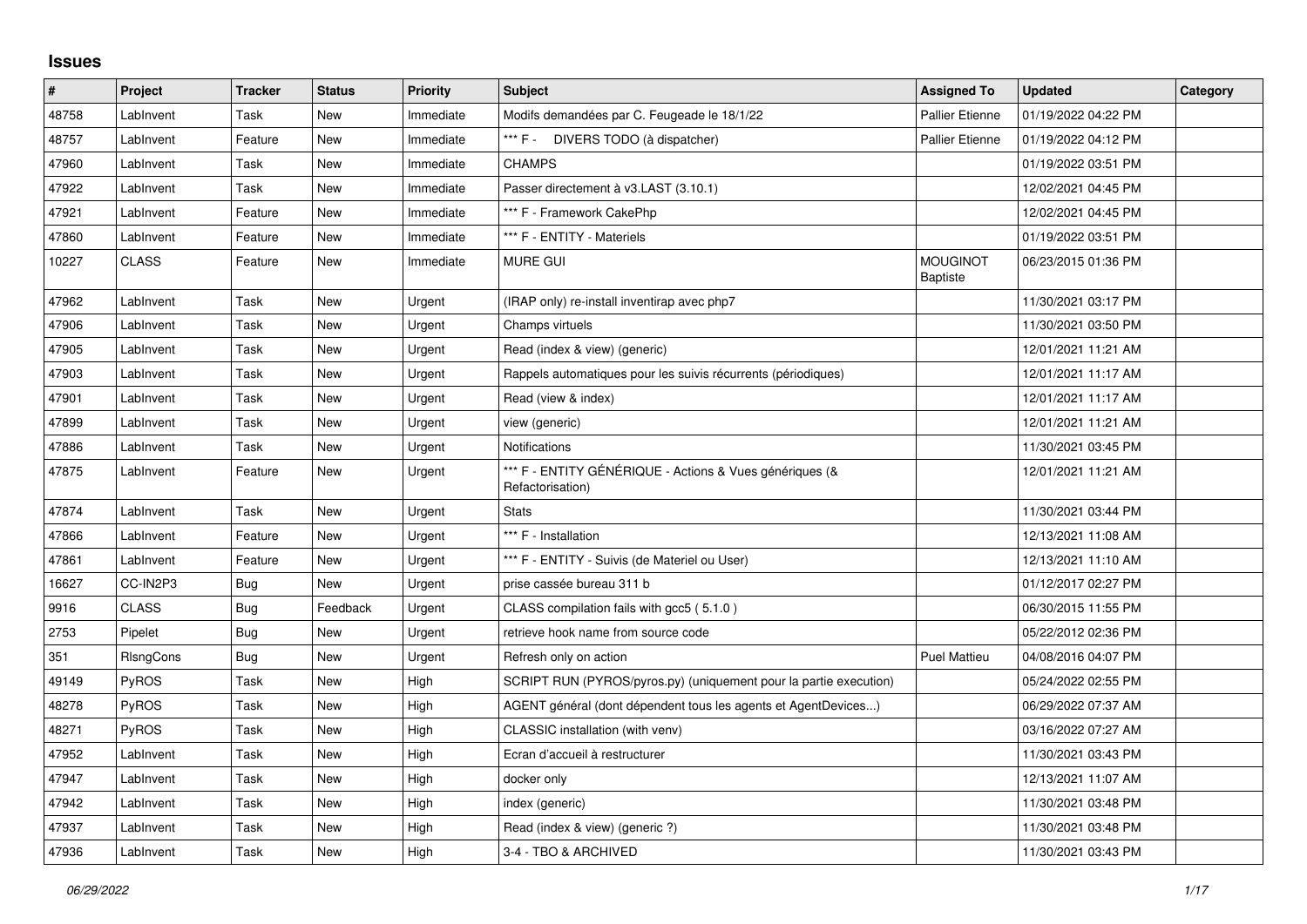## **Issues**

| $\vert$ # | Project      | <b>Tracker</b> | <b>Status</b> | <b>Priority</b> | <b>Subject</b>                                                              | <b>Assigned To</b>                 | <b>Updated</b>      | Category |
|-----------|--------------|----------------|---------------|-----------------|-----------------------------------------------------------------------------|------------------------------------|---------------------|----------|
| 48758     | LabInvent    | Task           | New           | Immediate       | Modifs demandées par C. Feugeade le 18/1/22                                 | <b>Pallier Etienne</b>             | 01/19/2022 04:22 PM |          |
| 48757     | LabInvent    | Feature        | <b>New</b>    | Immediate       | *** F -<br>DIVERS TODO (à dispatcher)                                       | <b>Pallier Etienne</b>             | 01/19/2022 04:12 PM |          |
| 47960     | LabInvent    | Task           | New           | Immediate       | <b>CHAMPS</b>                                                               |                                    | 01/19/2022 03:51 PM |          |
| 47922     | LabInvent    | Task           | <b>New</b>    | Immediate       | Passer directement à v3.LAST (3.10.1)                                       |                                    | 12/02/2021 04:45 PM |          |
| 47921     | LabInvent    | Feature        | New           | Immediate       | *** F - Framework CakePhp                                                   |                                    | 12/02/2021 04:45 PM |          |
| 47860     | LabInvent    | Feature        | New           | Immediate       | *** F - ENTITY - Materiels                                                  |                                    | 01/19/2022 03:51 PM |          |
| 10227     | <b>CLASS</b> | Feature        | <b>New</b>    | Immediate       | <b>MURE GUI</b>                                                             | <b>MOUGINOT</b><br><b>Baptiste</b> | 06/23/2015 01:36 PM |          |
| 47962     | LabInvent    | Task           | New           | Urgent          | (IRAP only) re-install inventirap avec php7                                 |                                    | 11/30/2021 03:17 PM |          |
| 47906     | LabInvent    | Task           | New           | Urgent          | Champs virtuels                                                             |                                    | 11/30/2021 03:50 PM |          |
| 47905     | LabInvent    | Task           | New           | Urgent          | Read (index & view) (generic)                                               |                                    | 12/01/2021 11:21 AM |          |
| 47903     | LabInvent    | Task           | <b>New</b>    | Urgent          | Rappels automatiques pour les suivis récurrents (périodiques)               |                                    | 12/01/2021 11:17 AM |          |
| 47901     | LabInvent    | Task           | New           | Urgent          | Read (view & index)                                                         |                                    | 12/01/2021 11:17 AM |          |
| 47899     | LabInvent    | Task           | <b>New</b>    | Urgent          | view (generic)                                                              |                                    | 12/01/2021 11:21 AM |          |
| 47886     | LabInvent    | Task           | New           | Urgent          | <b>Notifications</b>                                                        |                                    | 11/30/2021 03:45 PM |          |
| 47875     | LabInvent    | Feature        | <b>New</b>    | Urgent          | *** F - ENTITY GÉNÉRIQUE - Actions & Vues génériques (&<br>Refactorisation) |                                    | 12/01/2021 11:21 AM |          |
| 47874     | LabInvent    | Task           | New           | Urgent          | <b>Stats</b>                                                                |                                    | 11/30/2021 03:44 PM |          |
| 47866     | LabInvent    | Feature        | <b>New</b>    | Urgent          | *** F - Installation                                                        |                                    | 12/13/2021 11:08 AM |          |
| 47861     | LabInvent    | Feature        | New           | Urgent          | *** F - ENTITY - Suivis (de Materiel ou User)                               |                                    | 12/13/2021 11:10 AM |          |
| 16627     | CC-IN2P3     | Bug            | New           | Urgent          | prise cassée bureau 311 b                                                   |                                    | 01/12/2017 02:27 PM |          |
| 9916      | <b>CLASS</b> | <b>Bug</b>     | Feedback      | Urgent          | CLASS compilation fails with gcc5 (5.1.0)                                   |                                    | 06/30/2015 11:55 PM |          |
| 2753      | Pipelet      | Bug            | New           | Urgent          | retrieve hook name from source code                                         |                                    | 05/22/2012 02:36 PM |          |
| 351       | RIsngCons    | <b>Bug</b>     | New           | Urgent          | Refresh only on action                                                      | <b>Puel Mattieu</b>                | 04/08/2016 04:07 PM |          |
| 49149     | <b>PyROS</b> | Task           | New           | High            | SCRIPT RUN (PYROS/pyros.py) (uniquement pour la partie execution)           |                                    | 05/24/2022 02:55 PM |          |
| 48278     | <b>PyROS</b> | Task           | New           | High            | AGENT général (dont dépendent tous les agents et AgentDevices)              |                                    | 06/29/2022 07:37 AM |          |
| 48271     | PyROS        | Task           | New           | High            | CLASSIC installation (with venv)                                            |                                    | 03/16/2022 07:27 AM |          |
| 47952     | LabInvent    | Task           | New           | High            | Ecran d'accueil à restructurer                                              |                                    | 11/30/2021 03:43 PM |          |
| 47947     | LabInvent    | Task           | New           | High            | docker only                                                                 |                                    | 12/13/2021 11:07 AM |          |
| 47942     | LabInvent    | Task           | New           | High            | index (generic)                                                             |                                    | 11/30/2021 03:48 PM |          |
| 47937     | LabInvent    | Task           | New           | High            | Read (index & view) (generic ?)                                             |                                    | 11/30/2021 03:48 PM |          |
| 47936     | LabInvent    | Task           | New           | High            | 3-4 - TBO & ARCHIVED                                                        |                                    | 11/30/2021 03:43 PM |          |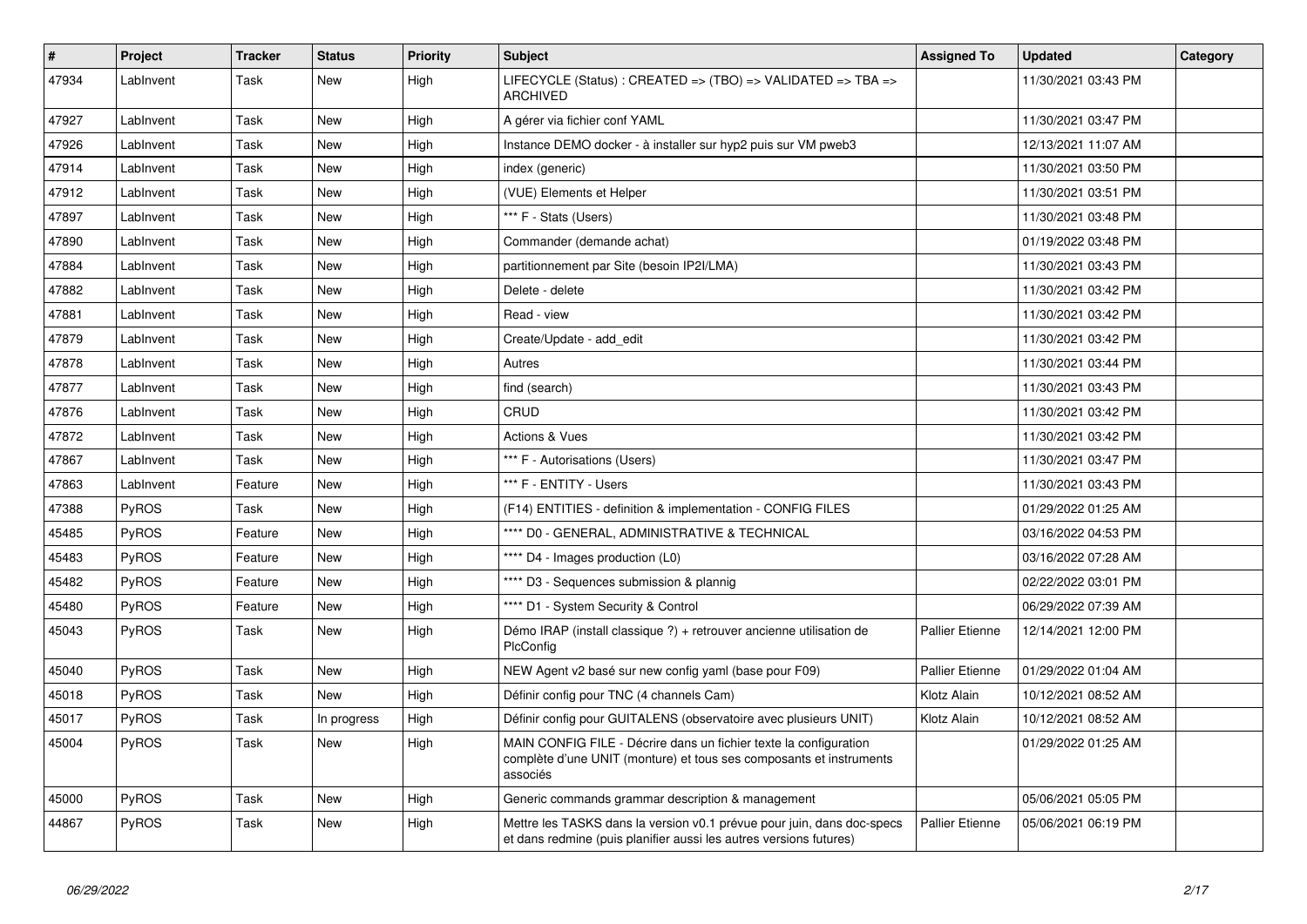| #     | <b>Project</b> | <b>Tracker</b> | <b>Status</b> | <b>Priority</b> | <b>Subject</b>                                                                                                                                       | <b>Assigned To</b>     | <b>Updated</b>      | Category |
|-------|----------------|----------------|---------------|-----------------|------------------------------------------------------------------------------------------------------------------------------------------------------|------------------------|---------------------|----------|
| 47934 | LabInvent      | Task           | New           | High            | LIFECYCLE (Status) : CREATED => (TBO) => VALIDATED => TBA =><br>ARCHIVED                                                                             |                        | 11/30/2021 03:43 PM |          |
| 47927 | LabInvent      | Task           | <b>New</b>    | High            | A gérer via fichier conf YAML                                                                                                                        |                        | 11/30/2021 03:47 PM |          |
| 47926 | LabInvent      | Task           | <b>New</b>    | High            | Instance DEMO docker - à installer sur hyp2 puis sur VM pweb3                                                                                        |                        | 12/13/2021 11:07 AM |          |
| 47914 | LabInvent      | Task           | <b>New</b>    | High            | index (generic)                                                                                                                                      |                        | 11/30/2021 03:50 PM |          |
| 47912 | LabInvent      | Task           | <b>New</b>    | High            | (VUE) Elements et Helper                                                                                                                             |                        | 11/30/2021 03:51 PM |          |
| 47897 | LabInvent      | Task           | <b>New</b>    | High            | *** F - Stats (Users)                                                                                                                                |                        | 11/30/2021 03:48 PM |          |
| 47890 | LabInvent      | Task           | <b>New</b>    | High            | Commander (demande achat)                                                                                                                            |                        | 01/19/2022 03:48 PM |          |
| 47884 | LabInvent      | Task           | <b>New</b>    | High            | partitionnement par Site (besoin IP2I/LMA)                                                                                                           |                        | 11/30/2021 03:43 PM |          |
| 47882 | LabInvent      | Task           | <b>New</b>    | High            | Delete - delete                                                                                                                                      |                        | 11/30/2021 03:42 PM |          |
| 47881 | LabInvent      | Task           | <b>New</b>    | High            | Read - view                                                                                                                                          |                        | 11/30/2021 03:42 PM |          |
| 47879 | LabInvent      | Task           | <b>New</b>    | High            | Create/Update - add edit                                                                                                                             |                        | 11/30/2021 03:42 PM |          |
| 47878 | LabInvent      | Task           | <b>New</b>    | High            | Autres                                                                                                                                               |                        | 11/30/2021 03:44 PM |          |
| 47877 | LabInvent      | Task           | <b>New</b>    | High            | find (search)                                                                                                                                        |                        | 11/30/2021 03:43 PM |          |
| 47876 | LabInvent      | Task           | <b>New</b>    | High            | CRUD                                                                                                                                                 |                        | 11/30/2021 03:42 PM |          |
| 47872 | LabInvent      | Task           | <b>New</b>    | High            | <b>Actions &amp; Vues</b>                                                                                                                            |                        | 11/30/2021 03:42 PM |          |
| 47867 | LabInvent      | Task           | <b>New</b>    | High            | *** F - Autorisations (Users)                                                                                                                        |                        | 11/30/2021 03:47 PM |          |
| 47863 | LabInvent      | Feature        | <b>New</b>    | High            | *** F - ENTITY - Users                                                                                                                               |                        | 11/30/2021 03:43 PM |          |
| 47388 | <b>PyROS</b>   | Task           | <b>New</b>    | High            | (F14) ENTITIES - definition & implementation - CONFIG FILES                                                                                          |                        | 01/29/2022 01:25 AM |          |
| 45485 | <b>PyROS</b>   | Feature        | <b>New</b>    | High            | **** D0 - GENERAL, ADMINISTRATIVE & TECHNICAL                                                                                                        |                        | 03/16/2022 04:53 PM |          |
| 45483 | <b>PyROS</b>   | Feature        | <b>New</b>    | High            | **** D4 - Images production (L0)                                                                                                                     |                        | 03/16/2022 07:28 AM |          |
| 45482 | PyROS          | Feature        | <b>New</b>    | High            | **** D3 - Sequences submission & plannig                                                                                                             |                        | 02/22/2022 03:01 PM |          |
| 45480 | <b>PyROS</b>   | Feature        | <b>New</b>    | High            | **** D1 - System Security & Control                                                                                                                  |                        | 06/29/2022 07:39 AM |          |
| 45043 | PyROS          | Task           | New           | High            | Démo IRAP (install classique ?) + retrouver ancienne utilisation de<br>PlcConfig                                                                     | <b>Pallier Etienne</b> | 12/14/2021 12:00 PM |          |
| 45040 | <b>PyROS</b>   | Task           | <b>New</b>    | High            | NEW Agent v2 basé sur new config yaml (base pour F09)                                                                                                | <b>Pallier Etienne</b> | 01/29/2022 01:04 AM |          |
| 45018 | <b>PyROS</b>   | Task           | New           | High            | Définir config pour TNC (4 channels Cam)                                                                                                             | Klotz Alain            | 10/12/2021 08:52 AM |          |
| 45017 | PyROS          | Task           | In progress   | High            | Définir config pour GUITALENS (observatoire avec plusieurs UNIT)                                                                                     | Klotz Alain            | 10/12/2021 08:52 AM |          |
| 45004 | <b>PyROS</b>   | Task           | <b>New</b>    | High            | MAIN CONFIG FILE - Décrire dans un fichier texte la configuration<br>complète d'une UNIT (monture) et tous ses composants et instruments<br>associés |                        | 01/29/2022 01:25 AM |          |
| 45000 | <b>PyROS</b>   | Task           | <b>New</b>    | High            | Generic commands grammar description & management                                                                                                    |                        | 05/06/2021 05:05 PM |          |
| 44867 | <b>PyROS</b>   | Task           | New           | High            | Mettre les TASKS dans la version v0.1 prévue pour juin, dans doc-specs<br>et dans redmine (puis planifier aussi les autres versions futures)         | <b>Pallier Etienne</b> | 05/06/2021 06:19 PM |          |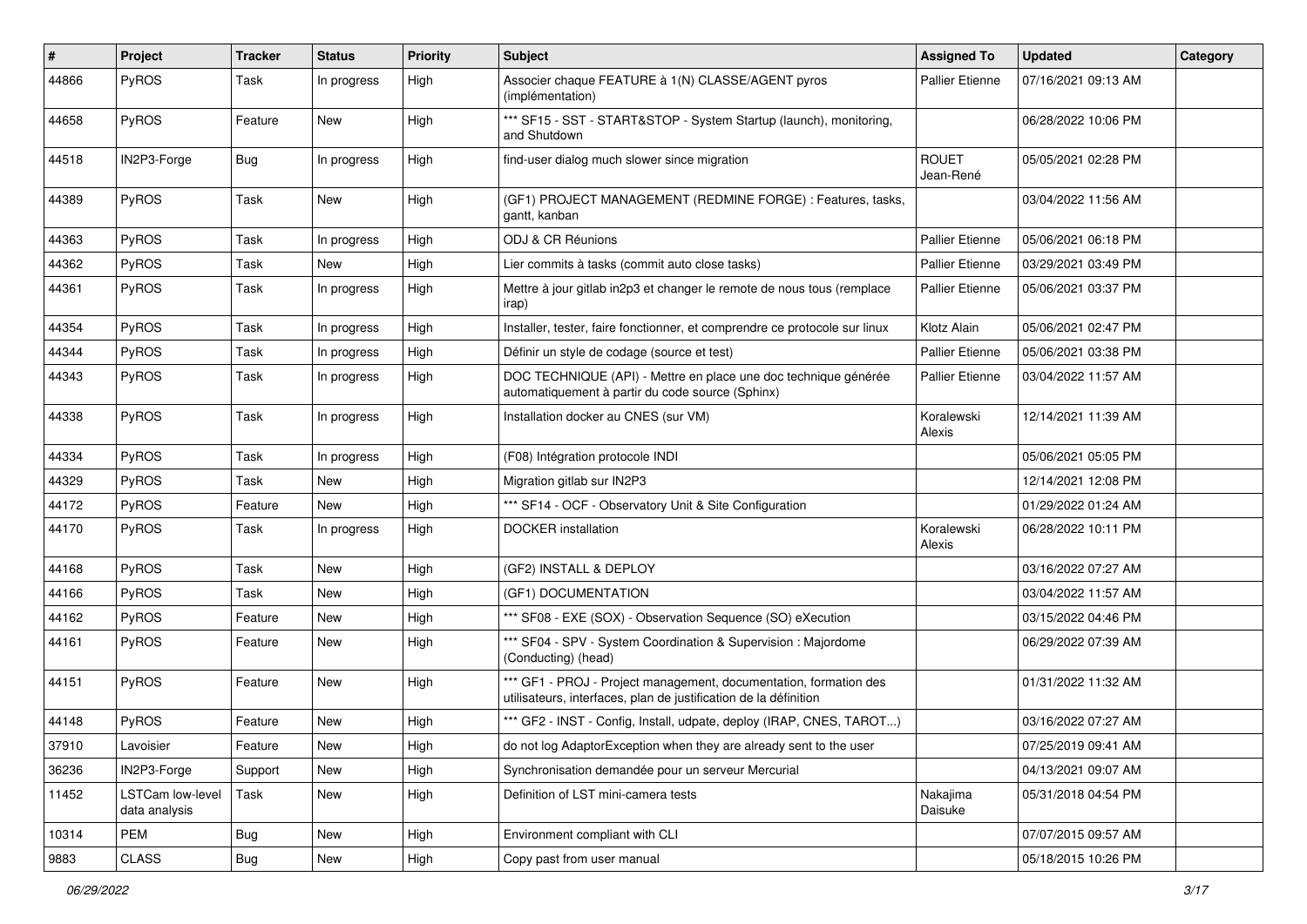| $\vert$ # | Project                                  | <b>Tracker</b> | <b>Status</b> | <b>Priority</b> | <b>Subject</b>                                                                                                                        | <b>Assigned To</b>        | <b>Updated</b>      | Category |
|-----------|------------------------------------------|----------------|---------------|-----------------|---------------------------------------------------------------------------------------------------------------------------------------|---------------------------|---------------------|----------|
| 44866     | PyROS                                    | Task           | In progress   | High            | Associer chaque FEATURE à 1(N) CLASSE/AGENT pyros<br>(implémentation)                                                                 | Pallier Etienne           | 07/16/2021 09:13 AM |          |
| 44658     | PyROS                                    | Feature        | New           | High            | *** SF15 - SST - START&STOP - System Startup (launch), monitoring,<br>and Shutdown                                                    |                           | 06/28/2022 10:06 PM |          |
| 44518     | IN2P3-Forge                              | Bug            | In progress   | High            | find-user dialog much slower since migration                                                                                          | <b>ROUET</b><br>Jean-René | 05/05/2021 02:28 PM |          |
| 44389     | PyROS                                    | Task           | <b>New</b>    | High            | (GF1) PROJECT MANAGEMENT (REDMINE FORGE) : Features, tasks,<br>gantt, kanban                                                          |                           | 03/04/2022 11:56 AM |          |
| 44363     | PyROS                                    | Task           | In progress   | High            | ODJ & CR Réunions                                                                                                                     | <b>Pallier Etienne</b>    | 05/06/2021 06:18 PM |          |
| 44362     | PyROS                                    | Task           | New           | High            | Lier commits à tasks (commit auto close tasks)                                                                                        | <b>Pallier Etienne</b>    | 03/29/2021 03:49 PM |          |
| 44361     | <b>PyROS</b>                             | Task           | In progress   | High            | Mettre à jour gitlab in 2p3 et changer le remote de nous tous (remplace<br>irap)                                                      | Pallier Etienne           | 05/06/2021 03:37 PM |          |
| 44354     | PyROS                                    | Task           | In progress   | High            | Installer, tester, faire fonctionner, et comprendre ce protocole sur linux                                                            | Klotz Alain               | 05/06/2021 02:47 PM |          |
| 44344     | PyROS                                    | Task           | In progress   | High            | Définir un style de codage (source et test)                                                                                           | <b>Pallier Etienne</b>    | 05/06/2021 03:38 PM |          |
| 44343     | PyROS                                    | Task           | In progress   | High            | DOC TECHNIQUE (API) - Mettre en place une doc technique générée<br>automatiquement à partir du code source (Sphinx)                   | Pallier Etienne           | 03/04/2022 11:57 AM |          |
| 44338     | PyROS                                    | Task           | In progress   | High            | Installation docker au CNES (sur VM)                                                                                                  | Koralewski<br>Alexis      | 12/14/2021 11:39 AM |          |
| 44334     | PyROS                                    | Task           | In progress   | High            | (F08) Intégration protocole INDI                                                                                                      |                           | 05/06/2021 05:05 PM |          |
| 44329     | PyROS                                    | Task           | New           | High            | Migration gitlab sur IN2P3                                                                                                            |                           | 12/14/2021 12:08 PM |          |
| 44172     | PyROS                                    | Feature        | <b>New</b>    | High            | *** SF14 - OCF - Observatory Unit & Site Configuration                                                                                |                           | 01/29/2022 01:24 AM |          |
| 44170     | PyROS                                    | Task           | In progress   | High            | DOCKER installation                                                                                                                   | Koralewski<br>Alexis      | 06/28/2022 10:11 PM |          |
| 44168     | PyROS                                    | Task           | New           | High            | (GF2) INSTALL & DEPLOY                                                                                                                |                           | 03/16/2022 07:27 AM |          |
| 44166     | PyROS                                    | Task           | <b>New</b>    | High            | (GF1) DOCUMENTATION                                                                                                                   |                           | 03/04/2022 11:57 AM |          |
| 44162     | PyROS                                    | Feature        | New           | High            | *** SF08 - EXE (SOX) - Observation Sequence (SO) eXecution                                                                            |                           | 03/15/2022 04:46 PM |          |
| 44161     | <b>PyROS</b>                             | Feature        | New           | High            | *** SF04 - SPV - System Coordination & Supervision : Majordome<br>(Conducting) (head)                                                 |                           | 06/29/2022 07:39 AM |          |
| 44151     | PyROS                                    | Feature        | <b>New</b>    | High            | *** GF1 - PROJ - Project management, documentation, formation des<br>utilisateurs, interfaces, plan de justification de la définition |                           | 01/31/2022 11:32 AM |          |
| 44148     | PyROS                                    | Feature        | <b>New</b>    | High            | *** GF2 - INST - Config, Install, udpate, deploy (IRAP, CNES, TAROT)                                                                  |                           | 03/16/2022 07:27 AM |          |
| 37910     | Lavoisier                                | Feature        | New           | High            | do not log AdaptorException when they are already sent to the user                                                                    |                           | 07/25/2019 09:41 AM |          |
| 36236     | IN2P3-Forge                              | Support        | New           | High            | Synchronisation demandée pour un serveur Mercurial                                                                                    |                           | 04/13/2021 09:07 AM |          |
| 11452     | <b>LSTCam low-level</b><br>data analysis | Task           | New           | High            | Definition of LST mini-camera tests                                                                                                   | Nakajima<br>Daisuke       | 05/31/2018 04:54 PM |          |
| 10314     | PEM                                      | <b>Bug</b>     | New           | High            | Environment compliant with CLI                                                                                                        |                           | 07/07/2015 09:57 AM |          |
| 9883      | CLASS                                    | <b>Bug</b>     | New           | High            | Copy past from user manual                                                                                                            |                           | 05/18/2015 10:26 PM |          |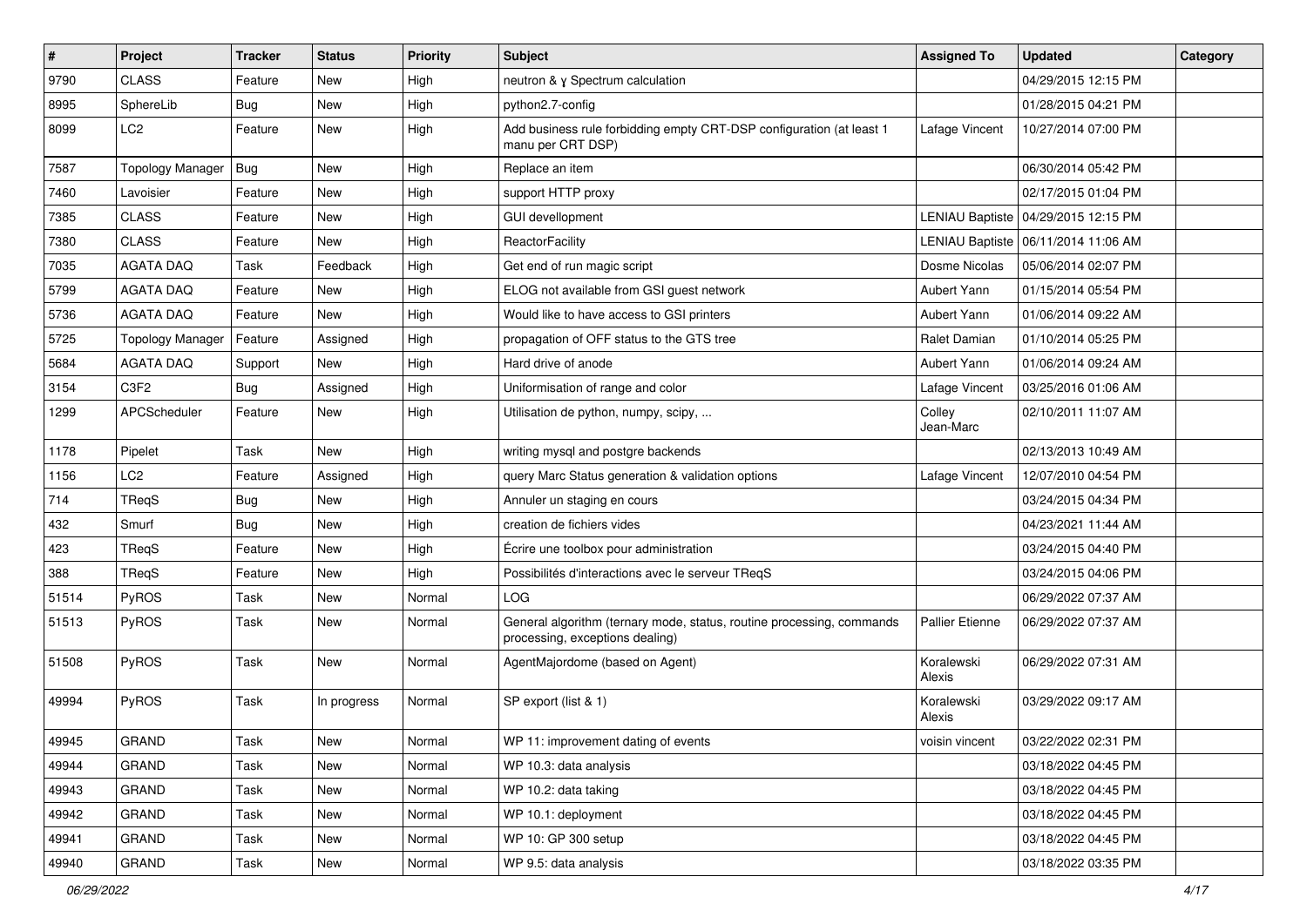| $\vert$ # | Project                       | Tracker     | <b>Status</b> | <b>Priority</b> | Subject                                                                                                  | <b>Assigned To</b>     | <b>Updated</b>                        | Category |
|-----------|-------------------------------|-------------|---------------|-----------------|----------------------------------------------------------------------------------------------------------|------------------------|---------------------------------------|----------|
| 9790      | <b>CLASS</b>                  | Feature     | New           | High            | neutron & y Spectrum calculation                                                                         |                        | 04/29/2015 12:15 PM                   |          |
| 8995      | SphereLib                     | Bug         | <b>New</b>    | High            | python2.7-config                                                                                         |                        | 01/28/2015 04:21 PM                   |          |
| 8099      | LC <sub>2</sub>               | Feature     | <b>New</b>    | High            | Add business rule forbidding empty CRT-DSP configuration (at least 1<br>manu per CRT DSP)                | Lafage Vincent         | 10/27/2014 07:00 PM                   |          |
| 7587      | <b>Topology Manager</b>       | Bug         | <b>New</b>    | High            | Replace an item                                                                                          |                        | 06/30/2014 05:42 PM                   |          |
| 7460      | Lavoisier                     | Feature     | <b>New</b>    | High            | support HTTP proxy                                                                                       |                        | 02/17/2015 01:04 PM                   |          |
| 7385      | <b>CLASS</b>                  | Feature     | New           | High            | <b>GUI devellopment</b>                                                                                  |                        | LENIAU Baptiste   04/29/2015 12:15 PM |          |
| 7380      | <b>CLASS</b>                  | Feature     | New           | High            | <b>ReactorFacility</b>                                                                                   |                        | LENIAU Baptiste   06/11/2014 11:06 AM |          |
| 7035      | <b>AGATA DAQ</b>              | Task        | Feedback      | High            | Get end of run magic script                                                                              | Dosme Nicolas          | 05/06/2014 02:07 PM                   |          |
| 5799      | <b>AGATA DAQ</b>              | Feature     | <b>New</b>    | High            | ELOG not available from GSI guest network                                                                | Aubert Yann            | 01/15/2014 05:54 PM                   |          |
| 5736      | AGATA DAQ                     | Feature     | <b>New</b>    | High            | Would like to have access to GSI printers                                                                | Aubert Yann            | 01/06/2014 09:22 AM                   |          |
| 5725      | <b>Topology Manager</b>       | Feature     | Assigned      | High            | propagation of OFF status to the GTS tree                                                                | Ralet Damian           | 01/10/2014 05:25 PM                   |          |
| 5684      | <b>AGATA DAQ</b>              | Support     | New           | High            | Hard drive of anode                                                                                      | Aubert Yann            | 01/06/2014 09:24 AM                   |          |
| 3154      | C <sub>3</sub> F <sub>2</sub> | <b>Bug</b>  | Assigned      | High            | Uniformisation of range and color                                                                        | Lafage Vincent         | 03/25/2016 01:06 AM                   |          |
| 1299      | APCScheduler                  | Feature     | New           | High            | Utilisation de python, numpy, scipy,                                                                     | Colley<br>Jean-Marc    | 02/10/2011 11:07 AM                   |          |
| 1178      | Pipelet                       | <b>Task</b> | <b>New</b>    | High            | writing mysql and postgre backends                                                                       |                        | 02/13/2013 10:49 AM                   |          |
| 1156      | LC <sub>2</sub>               | Feature     | Assigned      | High            | query Marc Status generation & validation options                                                        | Lafage Vincent         | 12/07/2010 04:54 PM                   |          |
| 714       | TReqS                         | Bug         | New           | High            | Annuler un staging en cours                                                                              |                        | 03/24/2015 04:34 PM                   |          |
| 432       | Smurf                         | Bug         | <b>New</b>    | High            | creation de fichiers vides                                                                               |                        | 04/23/2021 11:44 AM                   |          |
| 423       | TRegS                         | Feature     | New           | High            | Écrire une toolbox pour administration                                                                   |                        | 03/24/2015 04:40 PM                   |          |
| 388       | TReqS                         | Feature     | New           | High            | Possibilités d'interactions avec le serveur TReqS                                                        |                        | 03/24/2015 04:06 PM                   |          |
| 51514     | PyROS                         | Task        | <b>New</b>    | Normal          | LOG                                                                                                      |                        | 06/29/2022 07:37 AM                   |          |
| 51513     | PyROS                         | Task        | New           | Normal          | General algorithm (ternary mode, status, routine processing, commands<br>processing, exceptions dealing) | <b>Pallier Etienne</b> | 06/29/2022 07:37 AM                   |          |
| 51508     | PyROS                         | <b>Task</b> | <b>New</b>    | Normal          | AgentMajordome (based on Agent)                                                                          | Koralewski<br>Alexis   | 06/29/2022 07:31 AM                   |          |
| 49994     | PyROS                         | <b>Task</b> | In progress   | Normal          | SP export (list & 1)                                                                                     | Koralewski<br>Alexis   | 03/29/2022 09:17 AM                   |          |
| 49945     | GRAND                         | Task        | New           | Normal          | WP 11: improvement dating of events                                                                      | voisin vincent         | 03/22/2022 02:31 PM                   |          |
| 49944     | <b>GRAND</b>                  | Task        | New           | Normal          | WP 10.3: data analysis                                                                                   |                        | 03/18/2022 04:45 PM                   |          |
| 49943     | <b>GRAND</b>                  | Task        | New           | Normal          | WP 10.2: data taking                                                                                     |                        | 03/18/2022 04:45 PM                   |          |
| 49942     | <b>GRAND</b>                  | Task        | New           | Normal          | WP 10.1: deployment                                                                                      |                        | 03/18/2022 04:45 PM                   |          |
| 49941     | GRAND                         | Task        | New           | Normal          | WP 10: GP 300 setup                                                                                      |                        | 03/18/2022 04:45 PM                   |          |
| 49940     | GRAND                         | Task        | New           | Normal          | WP 9.5: data analysis                                                                                    |                        | 03/18/2022 03:35 PM                   |          |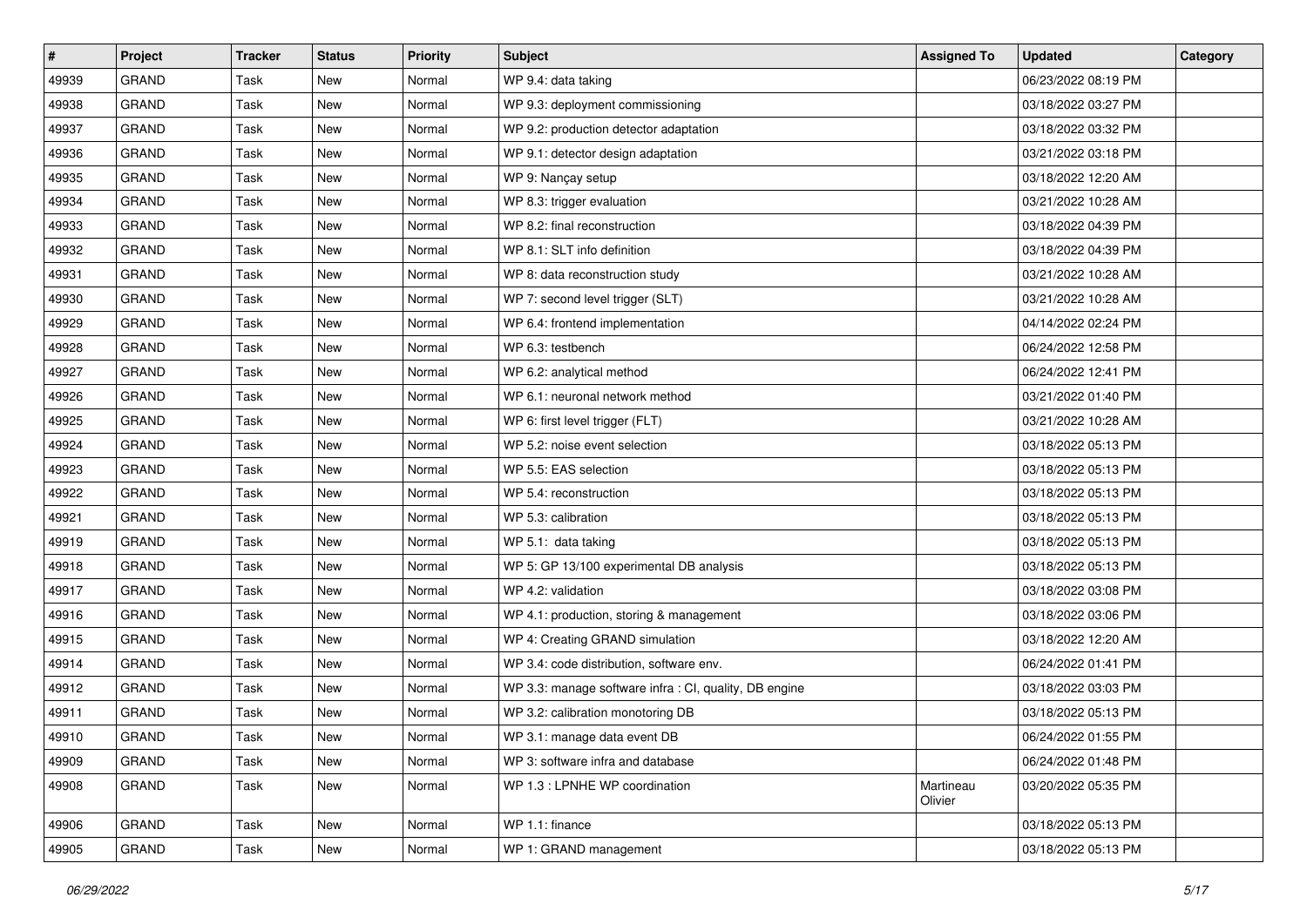| $\sharp$ | Project      | <b>Tracker</b> | <b>Status</b> | <b>Priority</b> | <b>Subject</b>                                         | <b>Assigned To</b>   | <b>Updated</b>      | Category |
|----------|--------------|----------------|---------------|-----------------|--------------------------------------------------------|----------------------|---------------------|----------|
| 49939    | <b>GRAND</b> | Task           | <b>New</b>    | Normal          | WP 9.4: data taking                                    |                      | 06/23/2022 08:19 PM |          |
| 49938    | GRAND        | Task           | <b>New</b>    | Normal          | WP 9.3: deployment commissioning                       |                      | 03/18/2022 03:27 PM |          |
| 49937    | <b>GRAND</b> | Task           | New           | Normal          | WP 9.2: production detector adaptation                 |                      | 03/18/2022 03:32 PM |          |
| 49936    | <b>GRAND</b> | Task           | <b>New</b>    | Normal          | WP 9.1: detector design adaptation                     |                      | 03/21/2022 03:18 PM |          |
| 49935    | <b>GRAND</b> | Task           | New           | Normal          | WP 9: Nançay setup                                     |                      | 03/18/2022 12:20 AM |          |
| 49934    | <b>GRAND</b> | Task           | New           | Normal          | WP 8.3: trigger evaluation                             |                      | 03/21/2022 10:28 AM |          |
| 49933    | <b>GRAND</b> | Task           | <b>New</b>    | Normal          | WP 8.2: final reconstruction                           |                      | 03/18/2022 04:39 PM |          |
| 49932    | <b>GRAND</b> | Task           | New           | Normal          | WP 8.1: SLT info definition                            |                      | 03/18/2022 04:39 PM |          |
| 49931    | <b>GRAND</b> | Task           | New           | Normal          | WP 8: data reconstruction study                        |                      | 03/21/2022 10:28 AM |          |
| 49930    | <b>GRAND</b> | Task           | <b>New</b>    | Normal          | WP 7: second level trigger (SLT)                       |                      | 03/21/2022 10:28 AM |          |
| 49929    | <b>GRAND</b> | Task           | New           | Normal          | WP 6.4: frontend implementation                        |                      | 04/14/2022 02:24 PM |          |
| 49928    | <b>GRAND</b> | Task           | <b>New</b>    | Normal          | WP 6.3: testbench                                      |                      | 06/24/2022 12:58 PM |          |
| 49927    | <b>GRAND</b> | Task           | New           | Normal          | WP 6.2: analytical method                              |                      | 06/24/2022 12:41 PM |          |
| 49926    | <b>GRAND</b> | Task           | <b>New</b>    | Normal          | WP 6.1: neuronal network method                        |                      | 03/21/2022 01:40 PM |          |
| 49925    | <b>GRAND</b> | Task           | <b>New</b>    | Normal          | WP 6: first level trigger (FLT)                        |                      | 03/21/2022 10:28 AM |          |
| 49924    | <b>GRAND</b> | Task           | New           | Normal          | WP 5.2: noise event selection                          |                      | 03/18/2022 05:13 PM |          |
| 49923    | <b>GRAND</b> | Task           | <b>New</b>    | Normal          | WP 5.5: EAS selection                                  |                      | 03/18/2022 05:13 PM |          |
| 49922    | <b>GRAND</b> | Task           | New           | Normal          | WP 5.4: reconstruction                                 |                      | 03/18/2022 05:13 PM |          |
| 49921    | <b>GRAND</b> | Task           | <b>New</b>    | Normal          | WP 5.3: calibration                                    |                      | 03/18/2022 05:13 PM |          |
| 49919    | GRAND        | Task           | <b>New</b>    | Normal          | WP 5.1: data taking                                    |                      | 03/18/2022 05:13 PM |          |
| 49918    | <b>GRAND</b> | Task           | <b>New</b>    | Normal          | WP 5: GP 13/100 experimental DB analysis               |                      | 03/18/2022 05:13 PM |          |
| 49917    | <b>GRAND</b> | Task           | New           | Normal          | WP 4.2: validation                                     |                      | 03/18/2022 03:08 PM |          |
| 49916    | <b>GRAND</b> | Task           | <b>New</b>    | Normal          | WP 4.1: production, storing & management               |                      | 03/18/2022 03:06 PM |          |
| 49915    | <b>GRAND</b> | Task           | <b>New</b>    | Normal          | WP 4: Creating GRAND simulation                        |                      | 03/18/2022 12:20 AM |          |
| 49914    | <b>GRAND</b> | Task           | <b>New</b>    | Normal          | WP 3.4: code distribution, software env.               |                      | 06/24/2022 01:41 PM |          |
| 49912    | <b>GRAND</b> | Task           | New           | Normal          | WP 3.3: manage software infra : CI, quality, DB engine |                      | 03/18/2022 03:03 PM |          |
| 49911    | <b>GRAND</b> | Task           | <b>New</b>    | Normal          | WP 3.2: calibration monotoring DB                      |                      | 03/18/2022 05:13 PM |          |
| 49910    | GRAND        | Task           | New           | Normal          | WP 3.1: manage data event DB                           |                      | 06/24/2022 01:55 PM |          |
| 49909    | <b>GRAND</b> | Task           | New           | Normal          | WP 3: software infra and database                      |                      | 06/24/2022 01:48 PM |          |
| 49908    | <b>GRAND</b> | Task           | New           | Normal          | WP 1.3 : LPNHE WP coordination                         | Martineau<br>Olivier | 03/20/2022 05:35 PM |          |
| 49906    | GRAND        | Task           | New           | Normal          | WP 1.1: finance                                        |                      | 03/18/2022 05:13 PM |          |
| 49905    | GRAND        | Task           | New           | Normal          | WP 1: GRAND management                                 |                      | 03/18/2022 05:13 PM |          |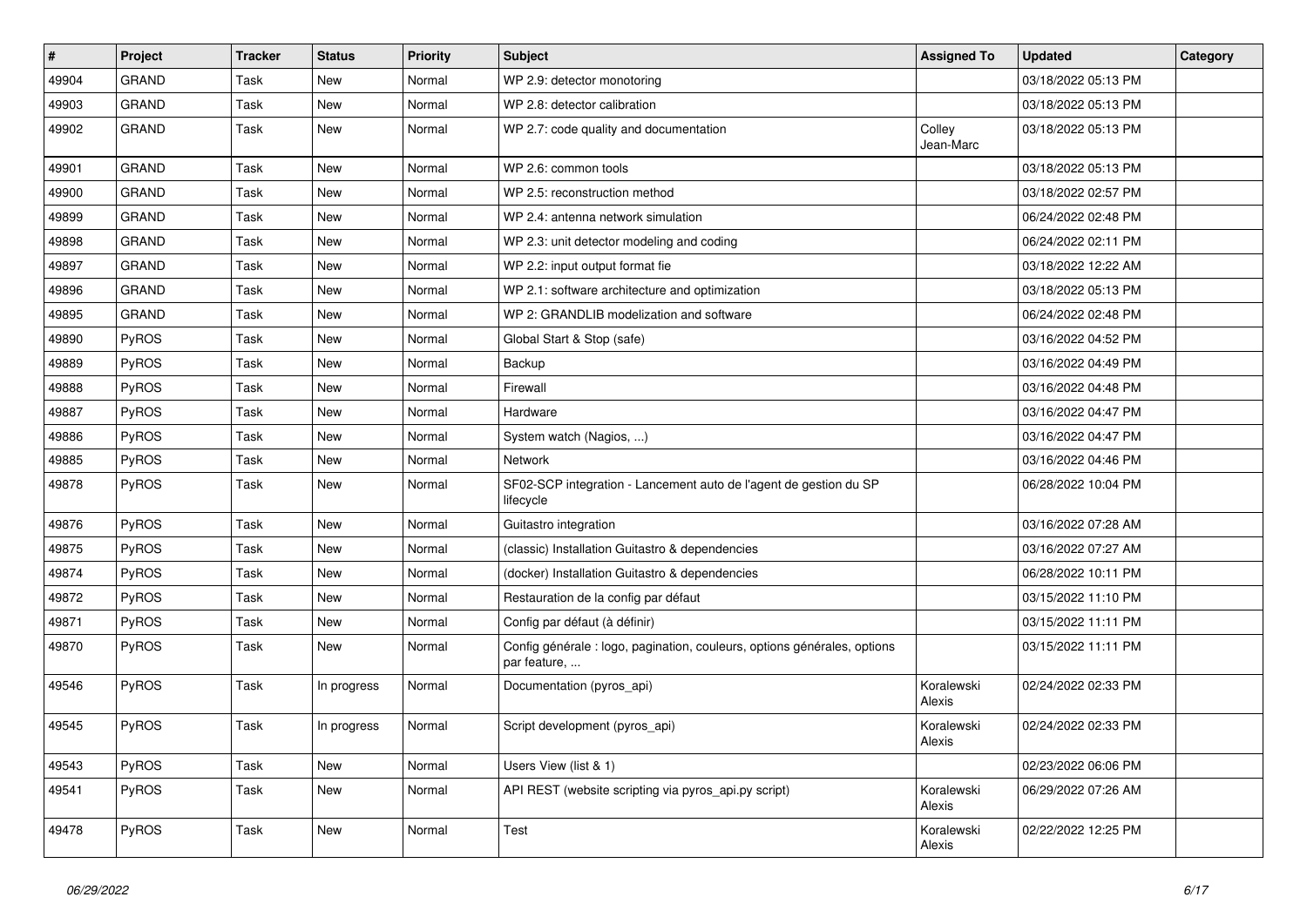| #     | Project      | <b>Tracker</b> | <b>Status</b> | <b>Priority</b> | <b>Subject</b>                                                                           | <b>Assigned To</b>   | <b>Updated</b>      | Category |
|-------|--------------|----------------|---------------|-----------------|------------------------------------------------------------------------------------------|----------------------|---------------------|----------|
| 49904 | <b>GRAND</b> | Task           | <b>New</b>    | Normal          | WP 2.9: detector monotoring                                                              |                      | 03/18/2022 05:13 PM |          |
| 49903 | <b>GRAND</b> | Task           | <b>New</b>    | Normal          | WP 2.8: detector calibration                                                             |                      | 03/18/2022 05:13 PM |          |
| 49902 | <b>GRAND</b> | Task           | <b>New</b>    | Normal          | WP 2.7: code quality and documentation                                                   | Colley<br>Jean-Marc  | 03/18/2022 05:13 PM |          |
| 49901 | GRAND        | Task           | New           | Normal          | WP 2.6: common tools                                                                     |                      | 03/18/2022 05:13 PM |          |
| 49900 | <b>GRAND</b> | Task           | <b>New</b>    | Normal          | WP 2.5: reconstruction method                                                            |                      | 03/18/2022 02:57 PM |          |
| 49899 | <b>GRAND</b> | Task           | <b>New</b>    | Normal          | WP 2.4: antenna network simulation                                                       |                      | 06/24/2022 02:48 PM |          |
| 49898 | <b>GRAND</b> | Task           | <b>New</b>    | Normal          | WP 2.3: unit detector modeling and coding                                                |                      | 06/24/2022 02:11 PM |          |
| 49897 | <b>GRAND</b> | Task           | <b>New</b>    | Normal          | WP 2.2: input output format fie                                                          |                      | 03/18/2022 12:22 AM |          |
| 49896 | <b>GRAND</b> | Task           | <b>New</b>    | Normal          | WP 2.1: software architecture and optimization                                           |                      | 03/18/2022 05:13 PM |          |
| 49895 | GRAND        | Task           | <b>New</b>    | Normal          | WP 2: GRANDLIB modelization and software                                                 |                      | 06/24/2022 02:48 PM |          |
| 49890 | <b>PyROS</b> | Task           | New           | Normal          | Global Start & Stop (safe)                                                               |                      | 03/16/2022 04:52 PM |          |
| 49889 | <b>PyROS</b> | Task           | <b>New</b>    | Normal          | Backup                                                                                   |                      | 03/16/2022 04:49 PM |          |
| 49888 | PyROS        | Task           | <b>New</b>    | Normal          | Firewall                                                                                 |                      | 03/16/2022 04:48 PM |          |
| 49887 | PyROS        | Task           | <b>New</b>    | Normal          | Hardware                                                                                 |                      | 03/16/2022 04:47 PM |          |
| 49886 | <b>PyROS</b> | Task           | <b>New</b>    | Normal          | System watch (Nagios, )                                                                  |                      | 03/16/2022 04:47 PM |          |
| 49885 | PyROS        | Task           | <b>New</b>    | Normal          | Network                                                                                  |                      | 03/16/2022 04:46 PM |          |
| 49878 | <b>PyROS</b> | Task           | New           | Normal          | SF02-SCP integration - Lancement auto de l'agent de gestion du SP<br>lifecycle           |                      | 06/28/2022 10:04 PM |          |
| 49876 | PyROS        | Task           | <b>New</b>    | Normal          | Guitastro integration                                                                    |                      | 03/16/2022 07:28 AM |          |
| 49875 | PyROS        | Task           | <b>New</b>    | Normal          | (classic) Installation Guitastro & dependencies                                          |                      | 03/16/2022 07:27 AM |          |
| 49874 | PyROS        | Task           | <b>New</b>    | Normal          | (docker) Installation Guitastro & dependencies                                           |                      | 06/28/2022 10:11 PM |          |
| 49872 | <b>PyROS</b> | Task           | New           | Normal          | Restauration de la config par défaut                                                     |                      | 03/15/2022 11:10 PM |          |
| 49871 | PyROS        | Task           | <b>New</b>    | Normal          | Config par défaut (à définir)                                                            |                      | 03/15/2022 11:11 PM |          |
| 49870 | PyROS        | Task           | <b>New</b>    | Normal          | Config générale : logo, pagination, couleurs, options générales, options<br>par feature, |                      | 03/15/2022 11:11 PM |          |
| 49546 | <b>PyROS</b> | Task           | In progress   | Normal          | Documentation (pyros_api)                                                                | Koralewski<br>Alexis | 02/24/2022 02:33 PM |          |
| 49545 | <b>PyROS</b> | Task           | In progress   | Normal          | Script development (pyros_api)                                                           | Koralewski<br>Alexis | 02/24/2022 02:33 PM |          |
| 49543 | PyROS        | Task           | <b>New</b>    | Normal          | Users View (list & 1)                                                                    |                      | 02/23/2022 06:06 PM |          |
| 49541 | PyROS        | Task           | New           | Normal          | API REST (website scripting via pyros_api.py script)                                     | Koralewski<br>Alexis | 06/29/2022 07:26 AM |          |
| 49478 | PyROS        | Task           | <b>New</b>    | Normal          | Test                                                                                     | Koralewski<br>Alexis | 02/22/2022 12:25 PM |          |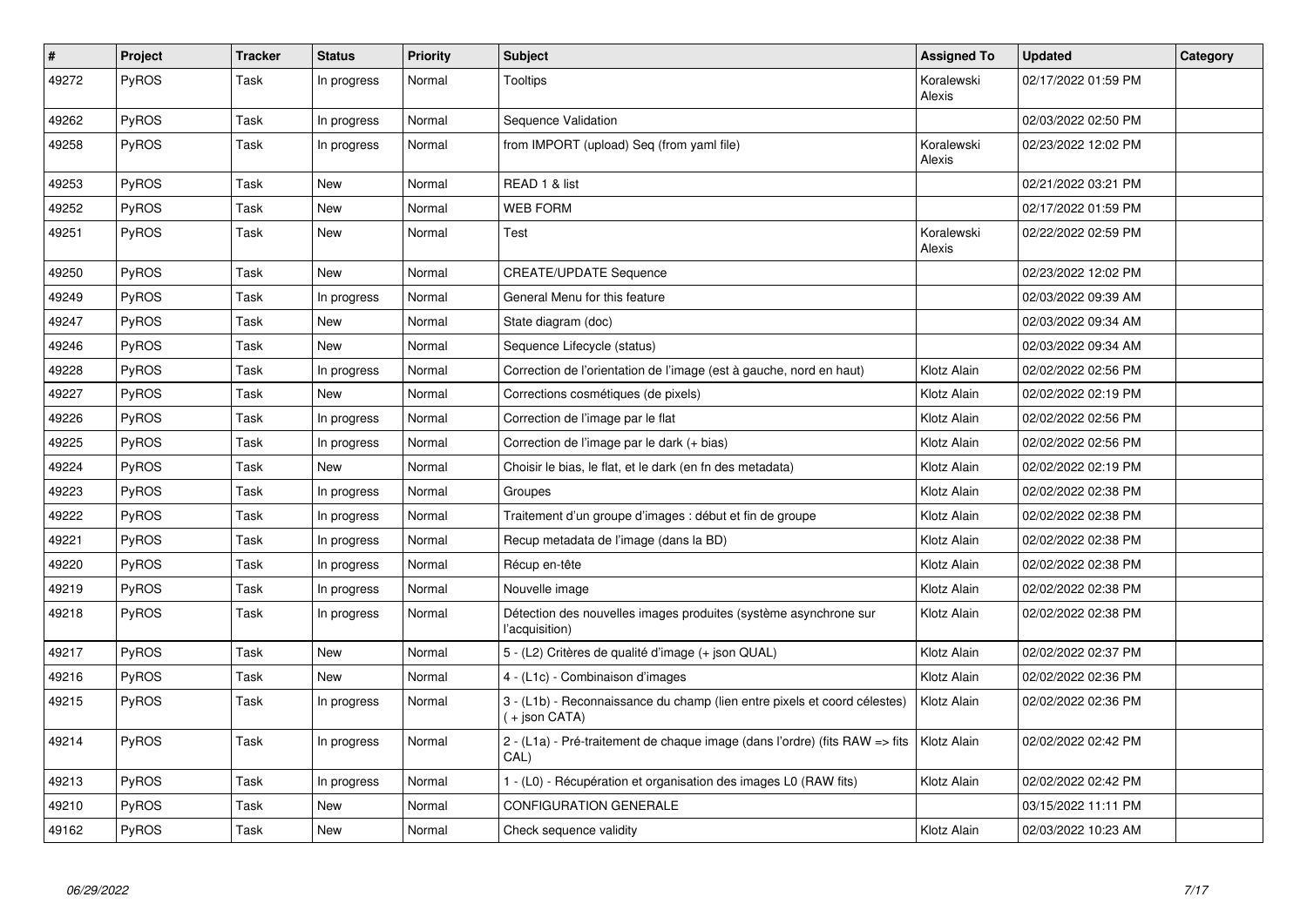| $\vert$ # | <b>Project</b> | <b>Tracker</b> | <b>Status</b> | <b>Priority</b> | <b>Subject</b>                                                                              | <b>Assigned To</b>   | <b>Updated</b>      | Category |
|-----------|----------------|----------------|---------------|-----------------|---------------------------------------------------------------------------------------------|----------------------|---------------------|----------|
| 49272     | PyROS          | Task           | In progress   | Normal          | Tooltips                                                                                    | Koralewski<br>Alexis | 02/17/2022 01:59 PM |          |
| 49262     | PyROS          | Task           | In progress   | Normal          | Sequence Validation                                                                         |                      | 02/03/2022 02:50 PM |          |
| 49258     | PyROS          | Task           | In progress   | Normal          | from IMPORT (upload) Seq (from yaml file)                                                   | Koralewski<br>Alexis | 02/23/2022 12:02 PM |          |
| 49253     | PyROS          | Task           | New           | Normal          | READ 1 & list                                                                               |                      | 02/21/2022 03:21 PM |          |
| 49252     | PyROS          | Task           | <b>New</b>    | Normal          | <b>WEB FORM</b>                                                                             |                      | 02/17/2022 01:59 PM |          |
| 49251     | PyROS          | Task           | <b>New</b>    | Normal          | Test                                                                                        | Koralewski<br>Alexis | 02/22/2022 02:59 PM |          |
| 49250     | PyROS          | Task           | <b>New</b>    | Normal          | <b>CREATE/UPDATE Sequence</b>                                                               |                      | 02/23/2022 12:02 PM |          |
| 49249     | PyROS          | Task           | In progress   | Normal          | General Menu for this feature                                                               |                      | 02/03/2022 09:39 AM |          |
| 49247     | PyROS          | Task           | <b>New</b>    | Normal          | State diagram (doc)                                                                         |                      | 02/03/2022 09:34 AM |          |
| 49246     | <b>PyROS</b>   | Task           | New           | Normal          | Sequence Lifecycle (status)                                                                 |                      | 02/03/2022 09:34 AM |          |
| 49228     | PyROS          | Task           | In progress   | Normal          | Correction de l'orientation de l'image (est à gauche, nord en haut)                         | Klotz Alain          | 02/02/2022 02:56 PM |          |
| 49227     | PyROS          | Task           | <b>New</b>    | Normal          | Corrections cosmétiques (de pixels)                                                         | Klotz Alain          | 02/02/2022 02:19 PM |          |
| 49226     | PyROS          | Task           | In progress   | Normal          | Correction de l'image par le flat                                                           | Klotz Alain          | 02/02/2022 02:56 PM |          |
| 49225     | PyROS          | Task           | In progress   | Normal          | Correction de l'image par le dark (+ bias)                                                  | Klotz Alain          | 02/02/2022 02:56 PM |          |
| 49224     | PyROS          | Task           | <b>New</b>    | Normal          | Choisir le bias, le flat, et le dark (en fn des metadata)                                   | Klotz Alain          | 02/02/2022 02:19 PM |          |
| 49223     | PyROS          | Task           | In progress   | Normal          | Groupes                                                                                     | Klotz Alain          | 02/02/2022 02:38 PM |          |
| 49222     | PyROS          | Task           | In progress   | Normal          | Traitement d'un groupe d'images : début et fin de groupe                                    | Klotz Alain          | 02/02/2022 02:38 PM |          |
| 49221     | PyROS          | Task           | In progress   | Normal          | Recup metadata de l'image (dans la BD)                                                      | Klotz Alain          | 02/02/2022 02:38 PM |          |
| 49220     | PyROS          | Task           | In progress   | Normal          | Récup en-tête                                                                               | Klotz Alain          | 02/02/2022 02:38 PM |          |
| 49219     | PyROS          | Task           | In progress   | Normal          | Nouvelle image                                                                              | Klotz Alain          | 02/02/2022 02:38 PM |          |
| 49218     | <b>PyROS</b>   | Task           | In progress   | Normal          | Détection des nouvelles images produites (système asynchrone sur<br>l'acquisition)          | Klotz Alain          | 02/02/2022 02:38 PM |          |
| 49217     | PyROS          | Task           | <b>New</b>    | Normal          | 5 - (L2) Critères de qualité d'image (+ json QUAL)                                          | Klotz Alain          | 02/02/2022 02:37 PM |          |
| 49216     | PyROS          | Task           | New           | Normal          | 4 - (L1c) - Combinaison d'images                                                            | Klotz Alain          | 02/02/2022 02:36 PM |          |
| 49215     | PyROS          | Task           | In progress   | Normal          | 3 - (L1b) - Reconnaissance du champ (lien entre pixels et coord célestes)<br>( + json CATA) | Klotz Alain          | 02/02/2022 02:36 PM |          |
| 49214     | <b>PyROS</b>   | Task           | In progress   | Normal          | 2 - (L1a) - Pré-traitement de chaque image (dans l'ordre) (fits RAW => fits<br>CAL)         | Klotz Alain          | 02/02/2022 02:42 PM |          |
| 49213     | PyROS          | Task           | In progress   | Normal          | 1 - (L0) - Récupération et organisation des images L0 (RAW fits)                            | Klotz Alain          | 02/02/2022 02:42 PM |          |
| 49210     | PyROS          | Task           | New           | Normal          | CONFIGURATION GENERALE                                                                      |                      | 03/15/2022 11:11 PM |          |
| 49162     | PyROS          | Task           | <b>New</b>    | Normal          | Check sequence validity                                                                     | Klotz Alain          | 02/03/2022 10:23 AM |          |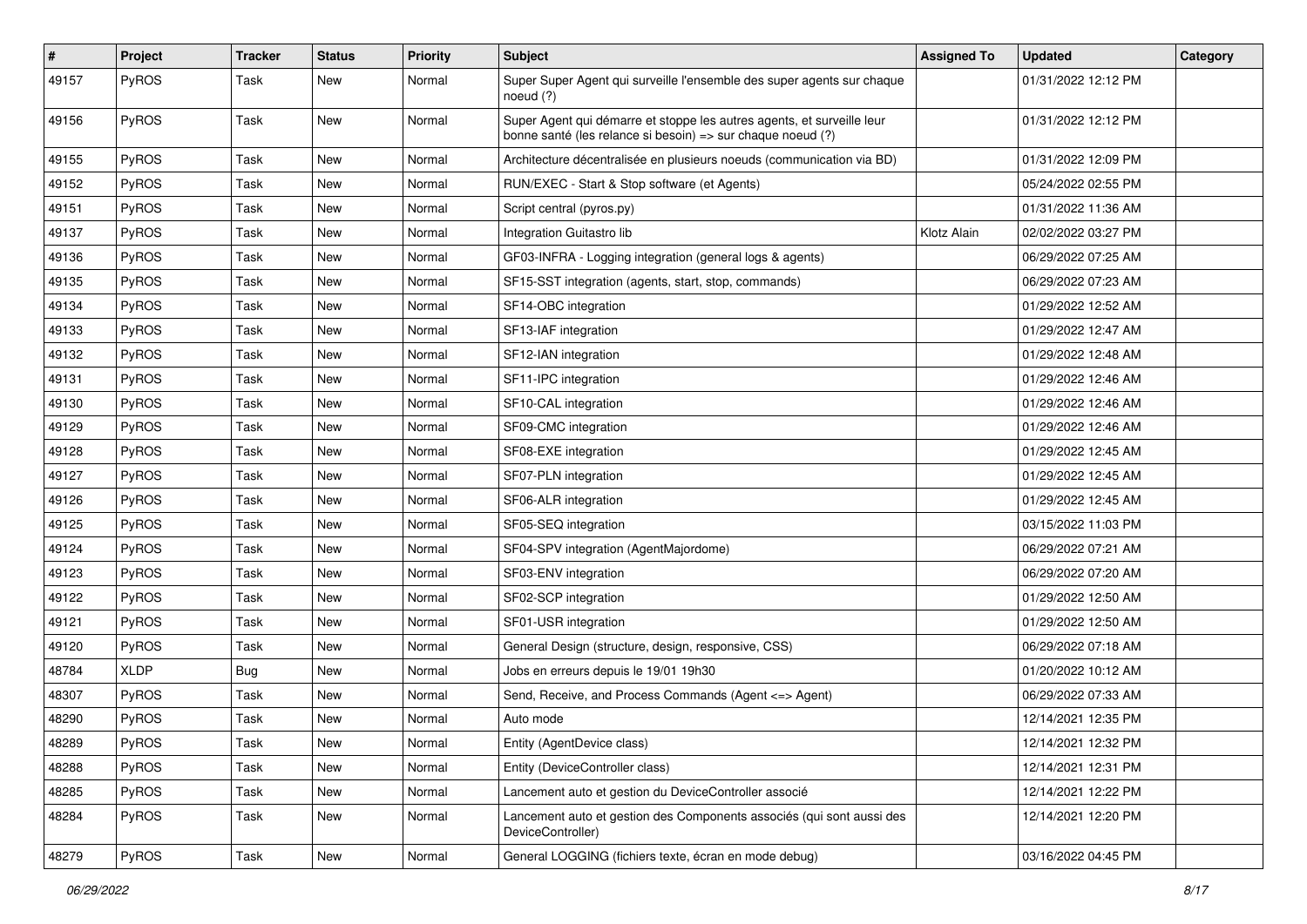| #     | Project      | <b>Tracker</b> | <b>Status</b> | <b>Priority</b> | <b>Subject</b>                                                                                                                        | <b>Assigned To</b> | <b>Updated</b>      | Category |
|-------|--------------|----------------|---------------|-----------------|---------------------------------------------------------------------------------------------------------------------------------------|--------------------|---------------------|----------|
| 49157 | PyROS        | Task           | New           | Normal          | Super Super Agent qui surveille l'ensemble des super agents sur chaque<br>noeud $(?)$                                                 |                    | 01/31/2022 12:12 PM |          |
| 49156 | PyROS        | Task           | New           | Normal          | Super Agent qui démarre et stoppe les autres agents, et surveille leur<br>bonne santé (les relance si besoin) => sur chaque noeud (?) |                    | 01/31/2022 12:12 PM |          |
| 49155 | PyROS        | Task           | <b>New</b>    | Normal          | Architecture décentralisée en plusieurs noeuds (communication via BD)                                                                 |                    | 01/31/2022 12:09 PM |          |
| 49152 | PyROS        | Task           | New           | Normal          | RUN/EXEC - Start & Stop software (et Agents)                                                                                          |                    | 05/24/2022 02:55 PM |          |
| 49151 | PyROS        | Task           | <b>New</b>    | Normal          | Script central (pyros.py)                                                                                                             |                    | 01/31/2022 11:36 AM |          |
| 49137 | PyROS        | Task           | New           | Normal          | Integration Guitastro lib                                                                                                             | Klotz Alain        | 02/02/2022 03:27 PM |          |
| 49136 | PyROS        | Task           | <b>New</b>    | Normal          | GF03-INFRA - Logging integration (general logs & agents)                                                                              |                    | 06/29/2022 07:25 AM |          |
| 49135 | PyROS        | Task           | <b>New</b>    | Normal          | SF15-SST integration (agents, start, stop, commands)                                                                                  |                    | 06/29/2022 07:23 AM |          |
| 49134 | <b>PyROS</b> | Task           | New           | Normal          | SF14-OBC integration                                                                                                                  |                    | 01/29/2022 12:52 AM |          |
| 49133 | PyROS        | Task           | New           | Normal          | SF13-IAF integration                                                                                                                  |                    | 01/29/2022 12:47 AM |          |
| 49132 | PyROS        | Task           | New           | Normal          | SF12-IAN integration                                                                                                                  |                    | 01/29/2022 12:48 AM |          |
| 49131 | PyROS        | Task           | <b>New</b>    | Normal          | SF11-IPC integration                                                                                                                  |                    | 01/29/2022 12:46 AM |          |
| 49130 | PyROS        | Task           | New           | Normal          | SF10-CAL integration                                                                                                                  |                    | 01/29/2022 12:46 AM |          |
| 49129 | <b>PyROS</b> | Task           | <b>New</b>    | Normal          | SF09-CMC integration                                                                                                                  |                    | 01/29/2022 12:46 AM |          |
| 49128 | PyROS        | Task           | <b>New</b>    | Normal          | SF08-EXE integration                                                                                                                  |                    | 01/29/2022 12:45 AM |          |
| 49127 | PyROS        | Task           | <b>New</b>    | Normal          | SF07-PLN integration                                                                                                                  |                    | 01/29/2022 12:45 AM |          |
| 49126 | PyROS        | Task           | New           | Normal          | SF06-ALR integration                                                                                                                  |                    | 01/29/2022 12:45 AM |          |
| 49125 | PyROS        | Task           | <b>New</b>    | Normal          | SF05-SEQ integration                                                                                                                  |                    | 03/15/2022 11:03 PM |          |
| 49124 | PyROS        | Task           | New           | Normal          | SF04-SPV integration (AgentMajordome)                                                                                                 |                    | 06/29/2022 07:21 AM |          |
| 49123 | PyROS        | Task           | New           | Normal          | SF03-ENV integration                                                                                                                  |                    | 06/29/2022 07:20 AM |          |
| 49122 | PyROS        | Task           | <b>New</b>    | Normal          | SF02-SCP integration                                                                                                                  |                    | 01/29/2022 12:50 AM |          |
| 49121 | PyROS        | Task           | New           | Normal          | SF01-USR integration                                                                                                                  |                    | 01/29/2022 12:50 AM |          |
| 49120 | PyROS        | Task           | New           | Normal          | General Design (structure, design, responsive, CSS)                                                                                   |                    | 06/29/2022 07:18 AM |          |
| 48784 | <b>XLDP</b>  | <b>Bug</b>     | New           | Normal          | Jobs en erreurs depuis le 19/01 19h30                                                                                                 |                    | 01/20/2022 10:12 AM |          |
| 48307 | PyROS        | Task           | <b>New</b>    | Normal          | Send, Receive, and Process Commands (Agent <= > Agent)                                                                                |                    | 06/29/2022 07:33 AM |          |
| 48290 | PyROS        | Task           | <b>New</b>    | Normal          | Auto mode                                                                                                                             |                    | 12/14/2021 12:35 PM |          |
| 48289 | <b>PyROS</b> | Task           | New           | Normal          | Entity (AgentDevice class)                                                                                                            |                    | 12/14/2021 12:32 PM |          |
| 48288 | PyROS        | Task           | New           | Normal          | Entity (DeviceController class)                                                                                                       |                    | 12/14/2021 12:31 PM |          |
| 48285 | PyROS        | Task           | <b>New</b>    | Normal          | Lancement auto et gestion du DeviceController associé                                                                                 |                    | 12/14/2021 12:22 PM |          |
| 48284 | PyROS        | Task           | New           | Normal          | Lancement auto et gestion des Components associés (qui sont aussi des<br>DeviceController)                                            |                    | 12/14/2021 12:20 PM |          |
| 48279 | PyROS        | Task           | New           | Normal          | General LOGGING (fichiers texte, écran en mode debug)                                                                                 |                    | 03/16/2022 04:45 PM |          |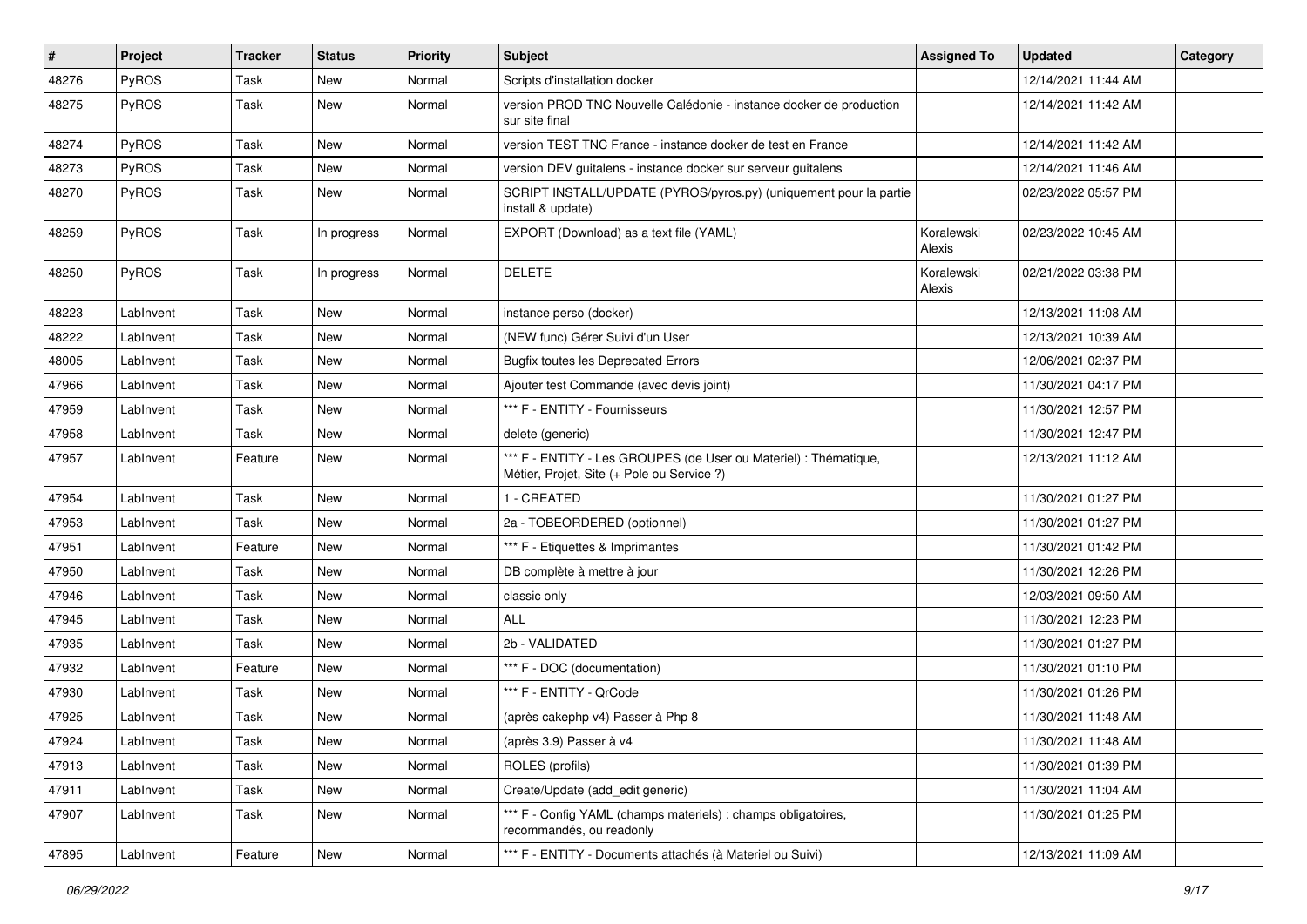| #     | Project   | <b>Tracker</b> | <b>Status</b> | <b>Priority</b> | <b>Subject</b>                                                                                                 | <b>Assigned To</b>   | <b>Updated</b>      | Category |
|-------|-----------|----------------|---------------|-----------------|----------------------------------------------------------------------------------------------------------------|----------------------|---------------------|----------|
| 48276 | PyROS     | Task           | New           | Normal          | Scripts d'installation docker                                                                                  |                      | 12/14/2021 11:44 AM |          |
| 48275 | PyROS     | Task           | <b>New</b>    | Normal          | version PROD TNC Nouvelle Calédonie - instance docker de production<br>sur site final                          |                      | 12/14/2021 11:42 AM |          |
| 48274 | PyROS     | Task           | <b>New</b>    | Normal          | version TEST TNC France - instance docker de test en France                                                    |                      | 12/14/2021 11:42 AM |          |
| 48273 | PyROS     | Task           | <b>New</b>    | Normal          | version DEV guitalens - instance docker sur serveur guitalens                                                  |                      | 12/14/2021 11:46 AM |          |
| 48270 | PyROS     | Task           | <b>New</b>    | Normal          | SCRIPT INSTALL/UPDATE (PYROS/pyros.py) (uniquement pour la partie<br>install & update)                         |                      | 02/23/2022 05:57 PM |          |
| 48259 | PyROS     | Task           | In progress   | Normal          | EXPORT (Download) as a text file (YAML)                                                                        | Koralewski<br>Alexis | 02/23/2022 10:45 AM |          |
| 48250 | PyROS     | Task           | In progress   | Normal          | <b>DELETE</b>                                                                                                  | Koralewski<br>Alexis | 02/21/2022 03:38 PM |          |
| 48223 | LabInvent | Task           | <b>New</b>    | Normal          | instance perso (docker)                                                                                        |                      | 12/13/2021 11:08 AM |          |
| 48222 | LabInvent | Task           | <b>New</b>    | Normal          | (NEW func) Gérer Suivi d'un User                                                                               |                      | 12/13/2021 10:39 AM |          |
| 48005 | LabInvent | Task           | New           | Normal          | <b>Bugfix toutes les Deprecated Errors</b>                                                                     |                      | 12/06/2021 02:37 PM |          |
| 47966 | LabInvent | Task           | <b>New</b>    | Normal          | Ajouter test Commande (avec devis joint)                                                                       |                      | 11/30/2021 04:17 PM |          |
| 47959 | LabInvent | Task           | New           | Normal          | *** F - ENTITY - Fournisseurs                                                                                  |                      | 11/30/2021 12:57 PM |          |
| 47958 | LabInvent | Task           | <b>New</b>    | Normal          | delete (generic)                                                                                               |                      | 11/30/2021 12:47 PM |          |
| 47957 | LabInvent | Feature        | <b>New</b>    | Normal          | *** F - ENTITY - Les GROUPES (de User ou Materiel) : Thématique,<br>Métier, Projet, Site (+ Pole ou Service ?) |                      | 12/13/2021 11:12 AM |          |
| 47954 | LabInvent | Task           | <b>New</b>    | Normal          | 1 - CREATED                                                                                                    |                      | 11/30/2021 01:27 PM |          |
| 47953 | LabInvent | Task           | <b>New</b>    | Normal          | 2a - TOBEORDERED (optionnel)                                                                                   |                      | 11/30/2021 01:27 PM |          |
| 47951 | LabInvent | Feature        | New           | Normal          | *** F - Etiquettes & Imprimantes                                                                               |                      | 11/30/2021 01:42 PM |          |
| 47950 | LabInvent | Task           | <b>New</b>    | Normal          | DB complète à mettre à jour                                                                                    |                      | 11/30/2021 12:26 PM |          |
| 47946 | LabInvent | Task           | New           | Normal          | classic only                                                                                                   |                      | 12/03/2021 09:50 AM |          |
| 47945 | LabInvent | Task           | <b>New</b>    | Normal          | ALL                                                                                                            |                      | 11/30/2021 12:23 PM |          |
| 47935 | LabInvent | Task           | <b>New</b>    | Normal          | 2b - VALIDATED                                                                                                 |                      | 11/30/2021 01:27 PM |          |
| 47932 | LabInvent | Feature        | New           | Normal          | *** F - DOC (documentation)                                                                                    |                      | 11/30/2021 01:10 PM |          |
| 47930 | LabInvent | Task           | <b>New</b>    | Normal          | *** F - ENTITY - QrCode                                                                                        |                      | 11/30/2021 01:26 PM |          |
| 47925 | LabInvent | Task           | New           | Normal          | (après cakephp v4) Passer à Php 8                                                                              |                      | 11/30/2021 11:48 AM |          |
| 47924 | LabInvent | Task           | New           | Normal          | (après 3.9) Passer à v4                                                                                        |                      | 11/30/2021 11:48 AM |          |
| 47913 | LabInvent | Task           | New           | Normal          | ROLES (profils)                                                                                                |                      | 11/30/2021 01:39 PM |          |
| 47911 | LabInvent | Task           | New           | Normal          | Create/Update (add_edit generic)                                                                               |                      | 11/30/2021 11:04 AM |          |
| 47907 | LabInvent | Task           | New           | Normal          | *** F - Config YAML (champs materiels) : champs obligatoires,<br>recommandés, ou readonly                      |                      | 11/30/2021 01:25 PM |          |
| 47895 | LabInvent | Feature        | New           | Normal          | *** F - ENTITY - Documents attachés (à Materiel ou Suivi)                                                      |                      | 12/13/2021 11:09 AM |          |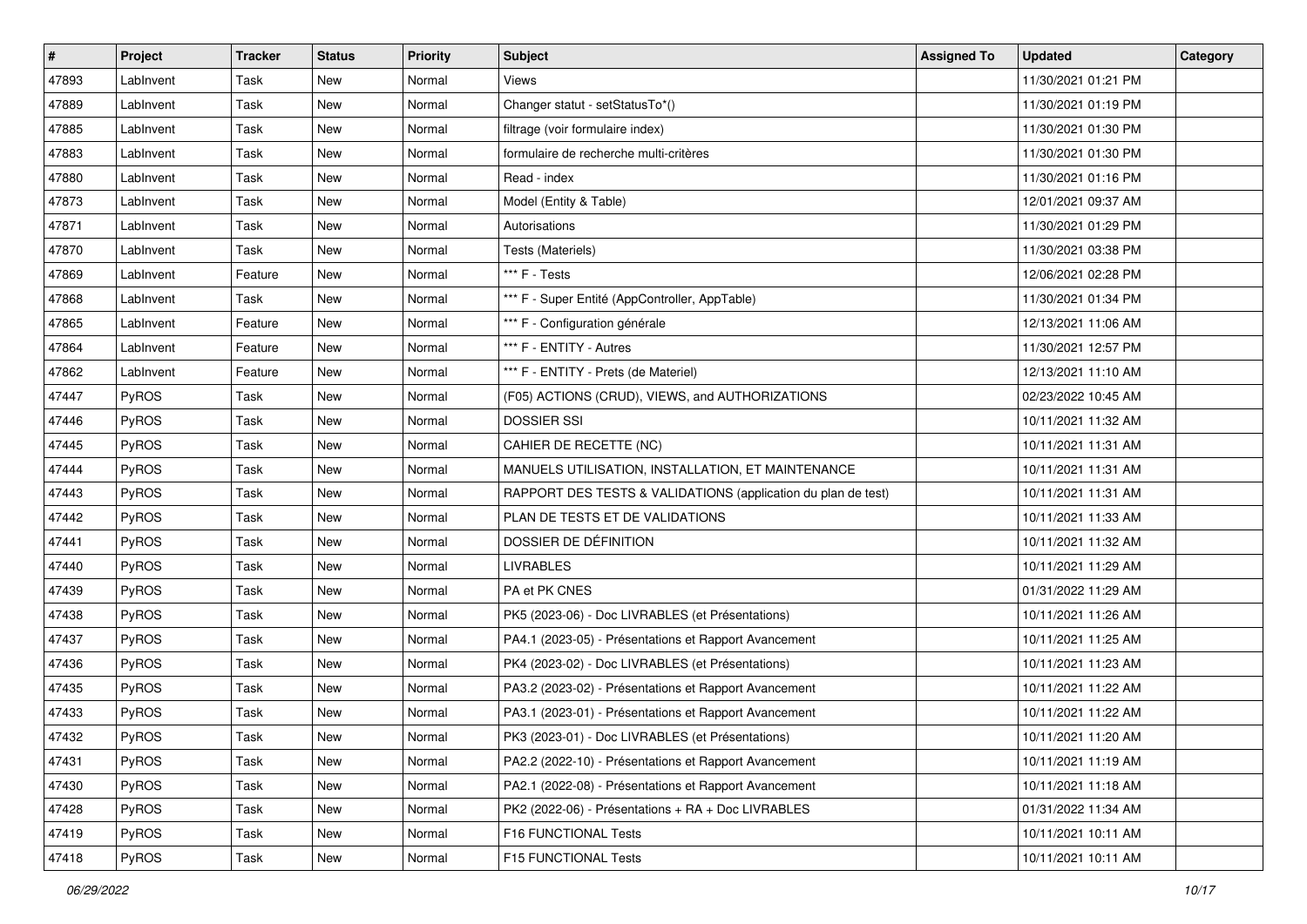| #     | Project      | <b>Tracker</b> | <b>Status</b> | <b>Priority</b> | <b>Subject</b>                                                | <b>Assigned To</b> | <b>Updated</b>      | Category |
|-------|--------------|----------------|---------------|-----------------|---------------------------------------------------------------|--------------------|---------------------|----------|
| 47893 | LabInvent    | Task           | <b>New</b>    | Normal          | Views                                                         |                    | 11/30/2021 01:21 PM |          |
| 47889 | LabInvent    | Task           | <b>New</b>    | Normal          | Changer statut - setStatusTo*()                               |                    | 11/30/2021 01:19 PM |          |
| 47885 | LabInvent    | Task           | New           | Normal          | filtrage (voir formulaire index)                              |                    | 11/30/2021 01:30 PM |          |
| 47883 | LabInvent    | Task           | New           | Normal          | formulaire de recherche multi-critères                        |                    | 11/30/2021 01:30 PM |          |
| 47880 | LabInvent    | Task           | <b>New</b>    | Normal          | Read - index                                                  |                    | 11/30/2021 01:16 PM |          |
| 47873 | LabInvent    | Task           | New           | Normal          | Model (Entity & Table)                                        |                    | 12/01/2021 09:37 AM |          |
| 47871 | LabInvent    | Task           | <b>New</b>    | Normal          | Autorisations                                                 |                    | 11/30/2021 01:29 PM |          |
| 47870 | LabInvent    | Task           | New           | Normal          | Tests (Materiels)                                             |                    | 11/30/2021 03:38 PM |          |
| 47869 | LabInvent    | Feature        | New           | Normal          | *** F - Tests                                                 |                    | 12/06/2021 02:28 PM |          |
| 47868 | LabInvent    | Task           | <b>New</b>    | Normal          | *** F - Super Entité (AppController, AppTable)                |                    | 11/30/2021 01:34 PM |          |
| 47865 | LabInvent    | Feature        | New           | Normal          | *** F - Configuration générale                                |                    | 12/13/2021 11:06 AM |          |
| 47864 | LabInvent    | Feature        | New           | Normal          | *** F - ENTITY - Autres                                       |                    | 11/30/2021 12:57 PM |          |
| 47862 | LabInvent    | Feature        | <b>New</b>    | Normal          | *** F - ENTITY - Prets (de Materiel)                          |                    | 12/13/2021 11:10 AM |          |
| 47447 | PyROS        | Task           | <b>New</b>    | Normal          | (F05) ACTIONS (CRUD), VIEWS, and AUTHORIZATIONS               |                    | 02/23/2022 10:45 AM |          |
| 47446 | PyROS        | Task           | New           | Normal          | <b>DOSSIER SSI</b>                                            |                    | 10/11/2021 11:32 AM |          |
| 47445 | PyROS        | Task           | New           | Normal          | CAHIER DE RECETTE (NC)                                        |                    | 10/11/2021 11:31 AM |          |
| 47444 | PyROS        | Task           | New           | Normal          | MANUELS UTILISATION, INSTALLATION, ET MAINTENANCE             |                    | 10/11/2021 11:31 AM |          |
| 47443 | PyROS        | Task           | <b>New</b>    | Normal          | RAPPORT DES TESTS & VALIDATIONS (application du plan de test) |                    | 10/11/2021 11:31 AM |          |
| 47442 | PyROS        | Task           | New           | Normal          | PLAN DE TESTS ET DE VALIDATIONS                               |                    | 10/11/2021 11:33 AM |          |
| 47441 | PyROS        | Task           | New           | Normal          | DOSSIER DE DÉFINITION                                         |                    | 10/11/2021 11:32 AM |          |
| 47440 | PyROS        | Task           | New           | Normal          | <b>LIVRABLES</b>                                              |                    | 10/11/2021 11:29 AM |          |
| 47439 | PyROS        | Task           | New           | Normal          | PA et PK CNES                                                 |                    | 01/31/2022 11:29 AM |          |
| 47438 | PyROS        | Task           | <b>New</b>    | Normal          | PK5 (2023-06) - Doc LIVRABLES (et Présentations)              |                    | 10/11/2021 11:26 AM |          |
| 47437 | PyROS        | Task           | New           | Normal          | PA4.1 (2023-05) - Présentations et Rapport Avancement         |                    | 10/11/2021 11:25 AM |          |
| 47436 | PyROS        | Task           | New           | Normal          | PK4 (2023-02) - Doc LIVRABLES (et Présentations)              |                    | 10/11/2021 11:23 AM |          |
| 47435 | <b>PyROS</b> | Task           | New           | Normal          | PA3.2 (2023-02) - Présentations et Rapport Avancement         |                    | 10/11/2021 11:22 AM |          |
| 47433 | PyROS        | Task           | <b>New</b>    | Normal          | PA3.1 (2023-01) - Présentations et Rapport Avancement         |                    | 10/11/2021 11:22 AM |          |
| 47432 | PyROS        | Task           | New           | Normal          | PK3 (2023-01) - Doc LIVRABLES (et Présentations)              |                    | 10/11/2021 11:20 AM |          |
| 47431 | <b>PyROS</b> | Task           | New           | Normal          | PA2.2 (2022-10) - Présentations et Rapport Avancement         |                    | 10/11/2021 11:19 AM |          |
| 47430 | PyROS        | Task           | New           | Normal          | PA2.1 (2022-08) - Présentations et Rapport Avancement         |                    | 10/11/2021 11:18 AM |          |
| 47428 | PyROS        | Task           | New           | Normal          | PK2 (2022-06) - Présentations + RA + Doc LIVRABLES            |                    | 01/31/2022 11:34 AM |          |
| 47419 | PyROS        | Task           | New           | Normal          | F16 FUNCTIONAL Tests                                          |                    | 10/11/2021 10:11 AM |          |
| 47418 | PyROS        | Task           | New           | Normal          | F15 FUNCTIONAL Tests                                          |                    | 10/11/2021 10:11 AM |          |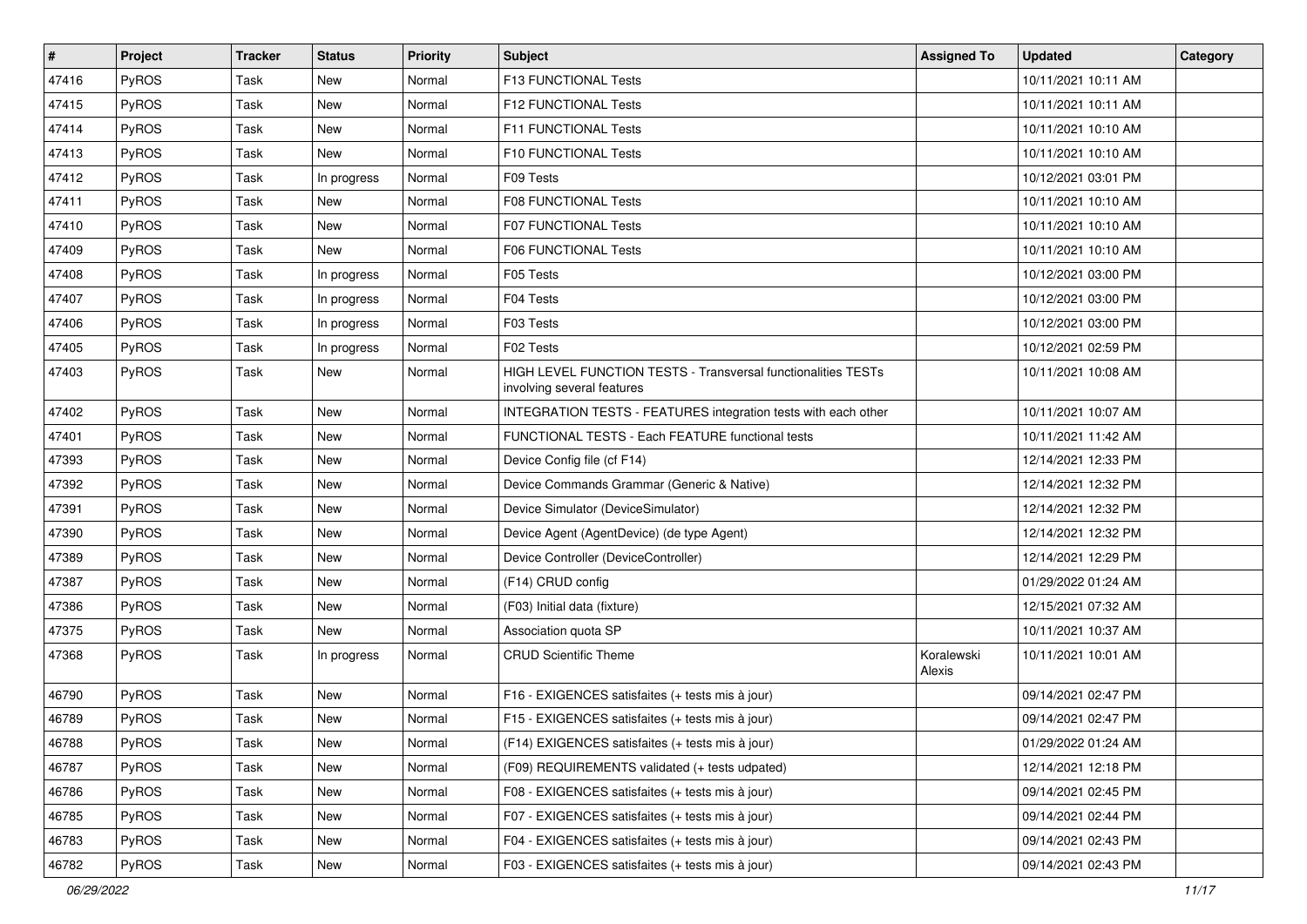| $\vert$ # | Project      | Tracker | <b>Status</b> | <b>Priority</b> | <b>Subject</b>                                                                              | <b>Assigned To</b>   | <b>Updated</b>      | Category |
|-----------|--------------|---------|---------------|-----------------|---------------------------------------------------------------------------------------------|----------------------|---------------------|----------|
| 47416     | PyROS        | Task    | <b>New</b>    | Normal          | F13 FUNCTIONAL Tests                                                                        |                      | 10/11/2021 10:11 AM |          |
| 47415     | PyROS        | Task    | <b>New</b>    | Normal          | F12 FUNCTIONAL Tests                                                                        |                      | 10/11/2021 10:11 AM |          |
| 47414     | PyROS        | Task    | New           | Normal          | F11 FUNCTIONAL Tests                                                                        |                      | 10/11/2021 10:10 AM |          |
| 47413     | PyROS        | Task    | <b>New</b>    | Normal          | F10 FUNCTIONAL Tests                                                                        |                      | 10/11/2021 10:10 AM |          |
| 47412     | PyROS        | Task    | In progress   | Normal          | F09 Tests                                                                                   |                      | 10/12/2021 03:01 PM |          |
| 47411     | PyROS        | Task    | New           | Normal          | <b>F08 FUNCTIONAL Tests</b>                                                                 |                      | 10/11/2021 10:10 AM |          |
| 47410     | PyROS        | Task    | <b>New</b>    | Normal          | F07 FUNCTIONAL Tests                                                                        |                      | 10/11/2021 10:10 AM |          |
| 47409     | PyROS        | Task    | <b>New</b>    | Normal          | F06 FUNCTIONAL Tests                                                                        |                      | 10/11/2021 10:10 AM |          |
| 47408     | PyROS        | Task    | In progress   | Normal          | F05 Tests                                                                                   |                      | 10/12/2021 03:00 PM |          |
| 47407     | PyROS        | Task    | In progress   | Normal          | F04 Tests                                                                                   |                      | 10/12/2021 03:00 PM |          |
| 47406     | PyROS        | Task    | In progress   | Normal          | F03 Tests                                                                                   |                      | 10/12/2021 03:00 PM |          |
| 47405     | PyROS        | Task    | In progress   | Normal          | F02 Tests                                                                                   |                      | 10/12/2021 02:59 PM |          |
| 47403     | PyROS        | Task    | <b>New</b>    | Normal          | HIGH LEVEL FUNCTION TESTS - Transversal functionalities TESTs<br>involving several features |                      | 10/11/2021 10:08 AM |          |
| 47402     | PyROS        | Task    | <b>New</b>    | Normal          | INTEGRATION TESTS - FEATURES integration tests with each other                              |                      | 10/11/2021 10:07 AM |          |
| 47401     | PyROS        | Task    | <b>New</b>    | Normal          | FUNCTIONAL TESTS - Each FEATURE functional tests                                            |                      | 10/11/2021 11:42 AM |          |
| 47393     | PyROS        | Task    | <b>New</b>    | Normal          | Device Config file (cf F14)                                                                 |                      | 12/14/2021 12:33 PM |          |
| 47392     | PyROS        | Task    | <b>New</b>    | Normal          | Device Commands Grammar (Generic & Native)                                                  |                      | 12/14/2021 12:32 PM |          |
| 47391     | <b>PyROS</b> | Task    | <b>New</b>    | Normal          | Device Simulator (DeviceSimulator)                                                          |                      | 12/14/2021 12:32 PM |          |
| 47390     | PyROS        | Task    | <b>New</b>    | Normal          | Device Agent (AgentDevice) (de type Agent)                                                  |                      | 12/14/2021 12:32 PM |          |
| 47389     | PyROS        | Task    | <b>New</b>    | Normal          | Device Controller (DeviceController)                                                        |                      | 12/14/2021 12:29 PM |          |
| 47387     | PyROS        | Task    | <b>New</b>    | Normal          | (F14) CRUD config                                                                           |                      | 01/29/2022 01:24 AM |          |
| 47386     | PyROS        | Task    | <b>New</b>    | Normal          | (F03) Initial data (fixture)                                                                |                      | 12/15/2021 07:32 AM |          |
| 47375     | PyROS        | Task    | <b>New</b>    | Normal          | Association quota SP                                                                        |                      | 10/11/2021 10:37 AM |          |
| 47368     | PyROS        | Task    | In progress   | Normal          | <b>CRUD Scientific Theme</b>                                                                | Koralewski<br>Alexis | 10/11/2021 10:01 AM |          |
| 46790     | PyROS        | Task    | <b>New</b>    | Normal          | F16 - EXIGENCES satisfaites (+ tests mis à jour)                                            |                      | 09/14/2021 02:47 PM |          |
| 46789     | PyROS        | Task    | <b>New</b>    | Normal          | F15 - EXIGENCES satisfaites (+ tests mis à jour)                                            |                      | 09/14/2021 02:47 PM |          |
| 46788     | PyROS        | Task    | New           | Normal          | (F14) EXIGENCES satisfaites (+ tests mis à jour)                                            |                      | 01/29/2022 01:24 AM |          |
| 46787     | PyROS        | Task    | New           | Normal          | (F09) REQUIREMENTS validated (+ tests udpated)                                              |                      | 12/14/2021 12:18 PM |          |
| 46786     | PyROS        | Task    | New           | Normal          | F08 - EXIGENCES satisfaites (+ tests mis à jour)                                            |                      | 09/14/2021 02:45 PM |          |
| 46785     | <b>PyROS</b> | Task    | New           | Normal          | F07 - EXIGENCES satisfaites (+ tests mis à jour)                                            |                      | 09/14/2021 02:44 PM |          |
| 46783     | PyROS        | Task    | New           | Normal          | F04 - EXIGENCES satisfaites (+ tests mis à jour)                                            |                      | 09/14/2021 02:43 PM |          |
| 46782     | PyROS        | Task    | New           | Normal          | F03 - EXIGENCES satisfaites (+ tests mis à jour)                                            |                      | 09/14/2021 02:43 PM |          |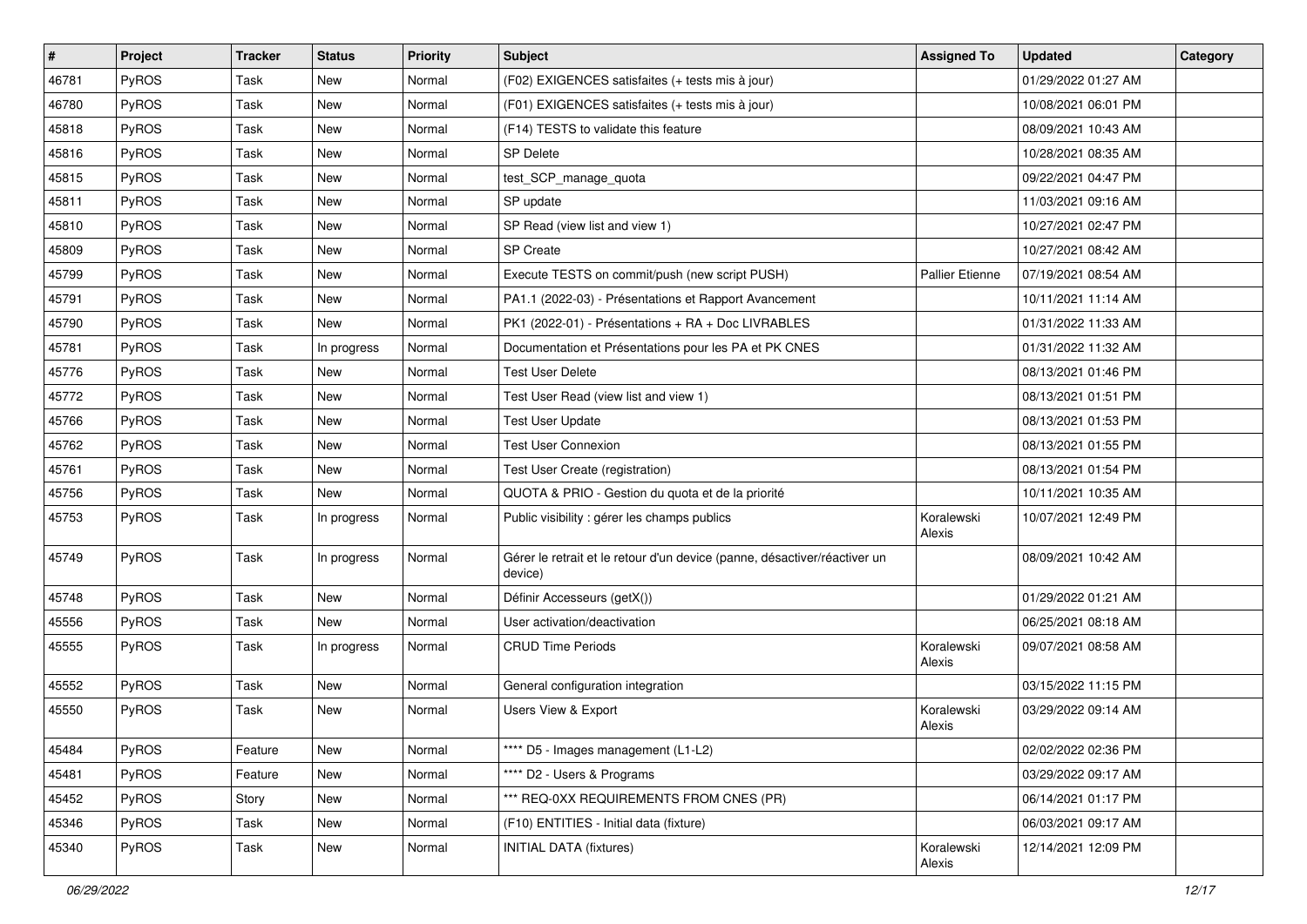| $\vert$ # | Project      | <b>Tracker</b> | <b>Status</b> | <b>Priority</b> | Subject                                                                              | <b>Assigned To</b>   | <b>Updated</b>      | Category |
|-----------|--------------|----------------|---------------|-----------------|--------------------------------------------------------------------------------------|----------------------|---------------------|----------|
| 46781     | PyROS        | Task           | <b>New</b>    | Normal          | (F02) EXIGENCES satisfaites (+ tests mis à jour)                                     |                      | 01/29/2022 01:27 AM |          |
| 46780     | PyROS        | Task           | <b>New</b>    | Normal          | (F01) EXIGENCES satisfaites (+ tests mis à jour)                                     |                      | 10/08/2021 06:01 PM |          |
| 45818     | PyROS        | Task           | New           | Normal          | (F14) TESTS to validate this feature                                                 |                      | 08/09/2021 10:43 AM |          |
| 45816     | PyROS        | Task           | <b>New</b>    | Normal          | <b>SP Delete</b>                                                                     |                      | 10/28/2021 08:35 AM |          |
| 45815     | PyROS        | Task           | <b>New</b>    | Normal          | test_SCP_manage_quota                                                                |                      | 09/22/2021 04:47 PM |          |
| 45811     | PyROS        | Task           | <b>New</b>    | Normal          | SP update                                                                            |                      | 11/03/2021 09:16 AM |          |
| 45810     | PyROS        | Task           | <b>New</b>    | Normal          | SP Read (view list and view 1)                                                       |                      | 10/27/2021 02:47 PM |          |
| 45809     | PyROS        | Task           | New           | Normal          | <b>SP Create</b>                                                                     |                      | 10/27/2021 08:42 AM |          |
| 45799     | PyROS        | Task           | New           | Normal          | Execute TESTS on commit/push (new script PUSH)                                       | Pallier Etienne      | 07/19/2021 08:54 AM |          |
| 45791     | PyROS        | Task           | <b>New</b>    | Normal          | PA1.1 (2022-03) - Présentations et Rapport Avancement                                |                      | 10/11/2021 11:14 AM |          |
| 45790     | <b>PyROS</b> | Task           | <b>New</b>    | Normal          | PK1 (2022-01) - Présentations + RA + Doc LIVRABLES                                   |                      | 01/31/2022 11:33 AM |          |
| 45781     | PyROS        | Task           | In progress   | Normal          | Documentation et Présentations pour les PA et PK CNES                                |                      | 01/31/2022 11:32 AM |          |
| 45776     | PyROS        | Task           | New           | Normal          | <b>Test User Delete</b>                                                              |                      | 08/13/2021 01:46 PM |          |
| 45772     | PyROS        | Task           | <b>New</b>    | Normal          | Test User Read (view list and view 1)                                                |                      | 08/13/2021 01:51 PM |          |
| 45766     | PyROS        | Task           | <b>New</b>    | Normal          | <b>Test User Update</b>                                                              |                      | 08/13/2021 01:53 PM |          |
| 45762     | PyROS        | Task           | New           | Normal          | <b>Test User Connexion</b>                                                           |                      | 08/13/2021 01:55 PM |          |
| 45761     | PyROS        | Task           | <b>New</b>    | Normal          | Test User Create (registration)                                                      |                      | 08/13/2021 01:54 PM |          |
| 45756     | PyROS        | Task           | <b>New</b>    | Normal          | QUOTA & PRIO - Gestion du quota et de la priorité                                    |                      | 10/11/2021 10:35 AM |          |
| 45753     | PyROS        | Task           | In progress   | Normal          | Public visibility : gérer les champs publics                                         | Koralewski<br>Alexis | 10/07/2021 12:49 PM |          |
| 45749     | PyROS        | Task           | In progress   | Normal          | Gérer le retrait et le retour d'un device (panne, désactiver/réactiver un<br>device) |                      | 08/09/2021 10:42 AM |          |
| 45748     | PyROS        | Task           | <b>New</b>    | Normal          | Définir Accesseurs (getX())                                                          |                      | 01/29/2022 01:21 AM |          |
| 45556     | PyROS        | Task           | <b>New</b>    | Normal          | User activation/deactivation                                                         |                      | 06/25/2021 08:18 AM |          |
| 45555     | PyROS        | Task           | In progress   | Normal          | <b>CRUD Time Periods</b>                                                             | Koralewski<br>Alexis | 09/07/2021 08:58 AM |          |
| 45552     | PyROS        | Task           | <b>New</b>    | Normal          | General configuration integration                                                    |                      | 03/15/2022 11:15 PM |          |
| 45550     | PyROS        | Task           | <b>New</b>    | Normal          | Users View & Export                                                                  | Koralewski<br>Alexis | 03/29/2022 09:14 AM |          |
| 45484     | PyROS        | Feature        | New           | Normal          | **** D5 - Images management (L1-L2)                                                  |                      | 02/02/2022 02:36 PM |          |
| 45481     | PyROS        | Feature        | New           | Normal          | **** D2 - Users & Programs                                                           |                      | 03/29/2022 09:17 AM |          |
| 45452     | PyROS        | Story          | New           | Normal          | *** REQ-0XX REQUIREMENTS FROM CNES (PR)                                              |                      | 06/14/2021 01:17 PM |          |
| 45346     | PyROS        | Task           | New           | Normal          | (F10) ENTITIES - Initial data (fixture)                                              |                      | 06/03/2021 09:17 AM |          |
| 45340     | PyROS        | Task           | New           | Normal          | <b>INITIAL DATA (fixtures)</b>                                                       | Koralewski<br>Alexis | 12/14/2021 12:09 PM |          |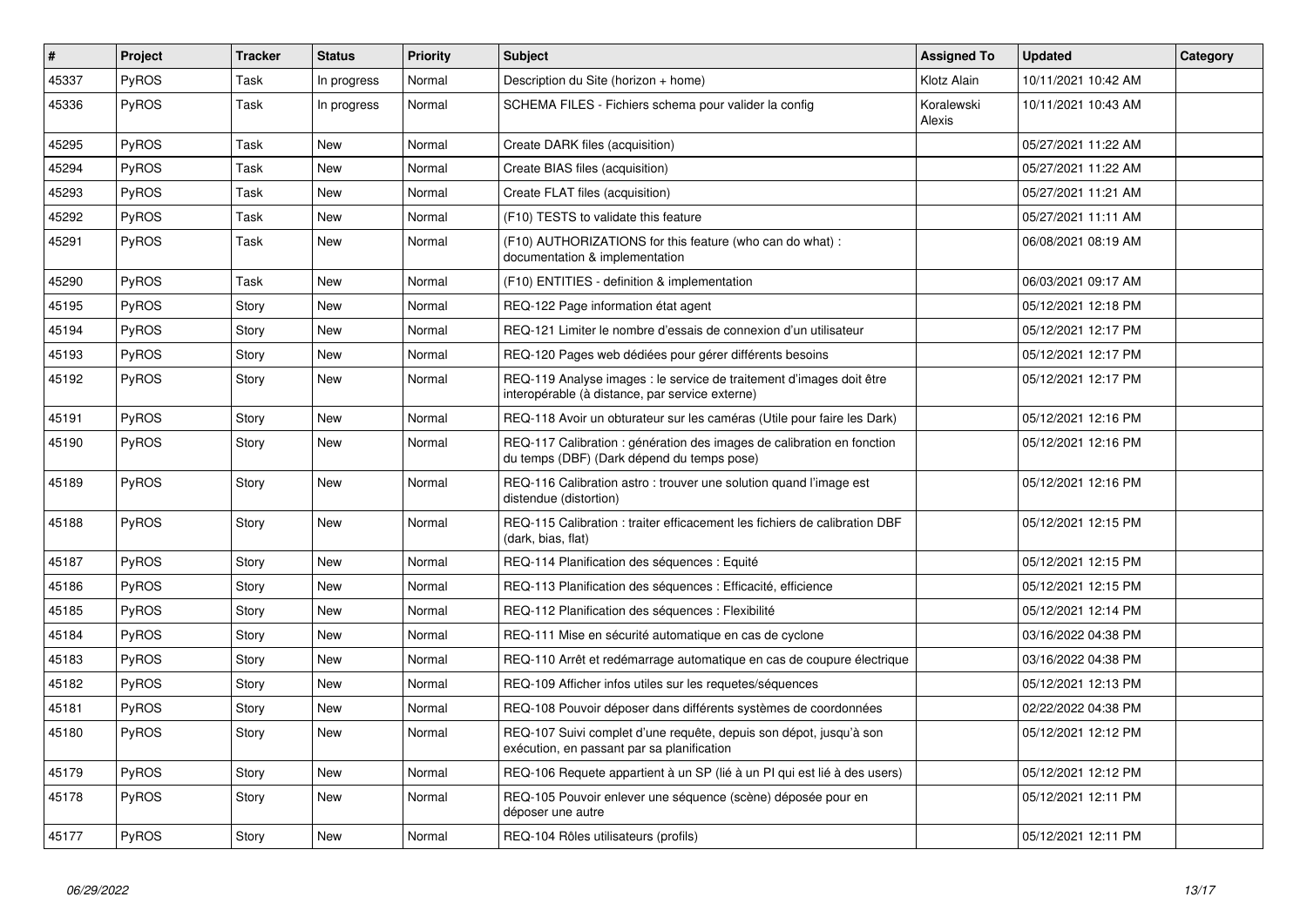| #     | Project      | <b>Tracker</b> | <b>Status</b> | <b>Priority</b> | <b>Subject</b>                                                                                                          | <b>Assigned To</b>   | <b>Updated</b>      | Category |
|-------|--------------|----------------|---------------|-----------------|-------------------------------------------------------------------------------------------------------------------------|----------------------|---------------------|----------|
| 45337 | <b>PyROS</b> | Task           | In progress   | Normal          | Description du Site (horizon + home)                                                                                    | Klotz Alain          | 10/11/2021 10:42 AM |          |
| 45336 | PyROS        | Task           | In progress   | Normal          | SCHEMA FILES - Fichiers schema pour valider la config                                                                   | Koralewski<br>Alexis | 10/11/2021 10:43 AM |          |
| 45295 | PyROS        | Task           | <b>New</b>    | Normal          | Create DARK files (acquisition)                                                                                         |                      | 05/27/2021 11:22 AM |          |
| 45294 | <b>PyROS</b> | Task           | <b>New</b>    | Normal          | Create BIAS files (acquisition)                                                                                         |                      | 05/27/2021 11:22 AM |          |
| 45293 | <b>PyROS</b> | Task           | <b>New</b>    | Normal          | Create FLAT files (acquisition)                                                                                         |                      | 05/27/2021 11:21 AM |          |
| 45292 | PyROS        | Task           | <b>New</b>    | Normal          | (F10) TESTS to validate this feature                                                                                    |                      | 05/27/2021 11:11 AM |          |
| 45291 | PyROS        | Task           | <b>New</b>    | Normal          | (F10) AUTHORIZATIONS for this feature (who can do what) :<br>documentation & implementation                             |                      | 06/08/2021 08:19 AM |          |
| 45290 | PyROS        | Task           | <b>New</b>    | Normal          | (F10) ENTITIES - definition & implementation                                                                            |                      | 06/03/2021 09:17 AM |          |
| 45195 | <b>PyROS</b> | Story          | <b>New</b>    | Normal          | REQ-122 Page information état agent                                                                                     |                      | 05/12/2021 12:18 PM |          |
| 45194 | PyROS        | Story          | <b>New</b>    | Normal          | REQ-121 Limiter le nombre d'essais de connexion d'un utilisateur                                                        |                      | 05/12/2021 12:17 PM |          |
| 45193 | PyROS        | Story          | <b>New</b>    | Normal          | REQ-120 Pages web dédiées pour gérer différents besoins                                                                 |                      | 05/12/2021 12:17 PM |          |
| 45192 | <b>PyROS</b> | Story          | <b>New</b>    | Normal          | REQ-119 Analyse images : le service de traitement d'images doit être<br>interopérable (à distance, par service externe) |                      | 05/12/2021 12:17 PM |          |
| 45191 | PyROS        | Story          | <b>New</b>    | Normal          | REQ-118 Avoir un obturateur sur les caméras (Utile pour faire les Dark)                                                 |                      | 05/12/2021 12:16 PM |          |
| 45190 | PyROS        | Story          | <b>New</b>    | Normal          | REQ-117 Calibration : génération des images de calibration en fonction<br>du temps (DBF) (Dark dépend du temps pose)    |                      | 05/12/2021 12:16 PM |          |
| 45189 | <b>PyROS</b> | Story          | <b>New</b>    | Normal          | REQ-116 Calibration astro: trouver une solution quand l'image est<br>distendue (distortion)                             |                      | 05/12/2021 12:16 PM |          |
| 45188 | PyROS        | Story          | New           | Normal          | REQ-115 Calibration: traiter efficacement les fichiers de calibration DBF<br>(dark, bias, flat)                         |                      | 05/12/2021 12:15 PM |          |
| 45187 | <b>PyROS</b> | Story          | <b>New</b>    | Normal          | REQ-114 Planification des séquences : Equité                                                                            |                      | 05/12/2021 12:15 PM |          |
| 45186 | <b>PyROS</b> | Story          | <b>New</b>    | Normal          | REQ-113 Planification des séquences : Efficacité, efficience                                                            |                      | 05/12/2021 12:15 PM |          |
| 45185 | <b>PyROS</b> | Story          | <b>New</b>    | Normal          | REQ-112 Planification des séquences : Flexibilité                                                                       |                      | 05/12/2021 12:14 PM |          |
| 45184 | PyROS        | Story          | <b>New</b>    | Normal          | REQ-111 Mise en sécurité automatique en cas de cyclone                                                                  |                      | 03/16/2022 04:38 PM |          |
| 45183 | <b>PyROS</b> | Story          | New           | Normal          | REQ-110 Arrêt et redémarrage automatique en cas de coupure électrique                                                   |                      | 03/16/2022 04:38 PM |          |
| 45182 | <b>PyROS</b> | Story          | <b>New</b>    | Normal          | REQ-109 Afficher infos utiles sur les requetes/séquences                                                                |                      | 05/12/2021 12:13 PM |          |
| 45181 | PyROS        | Story          | <b>New</b>    | Normal          | REQ-108 Pouvoir déposer dans différents systèmes de coordonnées                                                         |                      | 02/22/2022 04:38 PM |          |
| 45180 | PyROS        | Story          | <b>New</b>    | Normal          | REQ-107 Suivi complet d'une requête, depuis son dépot, jusqu'à son<br>exécution, en passant par sa planification        |                      | 05/12/2021 12:12 PM |          |
| 45179 | PyROS        | Story          | <b>New</b>    | Normal          | REQ-106 Requete appartient à un SP (lié à un PI qui est lié à des users)                                                |                      | 05/12/2021 12:12 PM |          |
| 45178 | PyROS        | Story          | <b>New</b>    | Normal          | REQ-105 Pouvoir enlever une séquence (scène) déposée pour en<br>déposer une autre                                       |                      | 05/12/2021 12:11 PM |          |
| 45177 | <b>PyROS</b> | Story          | New           | Normal          | REQ-104 Rôles utilisateurs (profils)                                                                                    |                      | 05/12/2021 12:11 PM |          |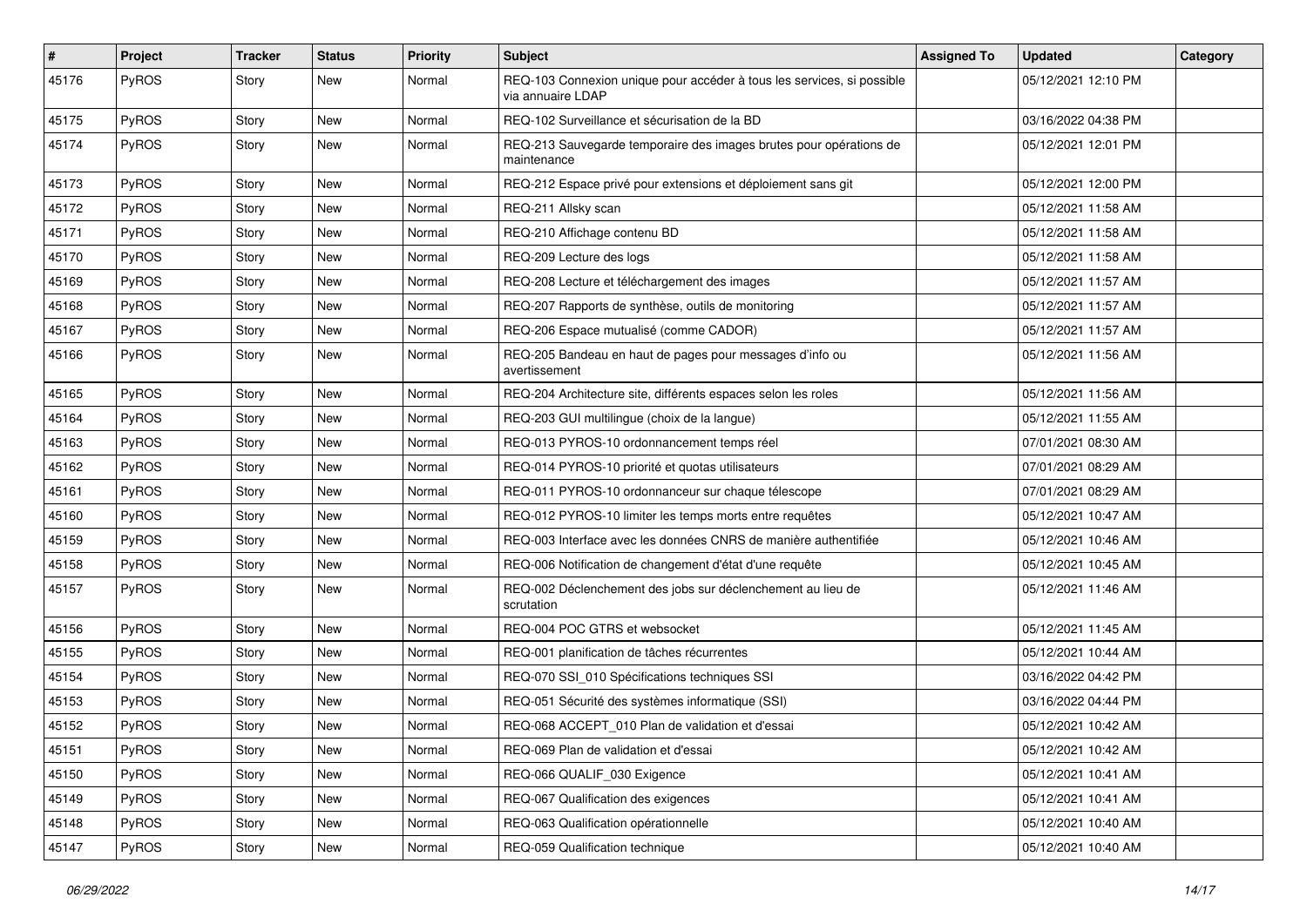| $\vert$ # | Project      | <b>Tracker</b> | <b>Status</b> | <b>Priority</b> | Subject                                                                                     | <b>Assigned To</b> | <b>Updated</b>      | Category |
|-----------|--------------|----------------|---------------|-----------------|---------------------------------------------------------------------------------------------|--------------------|---------------------|----------|
| 45176     | PyROS        | Story          | New           | Normal          | REQ-103 Connexion unique pour accéder à tous les services, si possible<br>via annuaire LDAP |                    | 05/12/2021 12:10 PM |          |
| 45175     | PyROS        | Story          | New           | Normal          | REQ-102 Surveillance et sécurisation de la BD                                               |                    | 03/16/2022 04:38 PM |          |
| 45174     | PyROS        | Story          | New           | Normal          | REQ-213 Sauvegarde temporaire des images brutes pour opérations de<br>maintenance           |                    | 05/12/2021 12:01 PM |          |
| 45173     | PyROS        | Story          | <b>New</b>    | Normal          | REQ-212 Espace privé pour extensions et déploiement sans git                                |                    | 05/12/2021 12:00 PM |          |
| 45172     | PyROS        | Story          | <b>New</b>    | Normal          | REQ-211 Allsky scan                                                                         |                    | 05/12/2021 11:58 AM |          |
| 45171     | PyROS        | Story          | New           | Normal          | REQ-210 Affichage contenu BD                                                                |                    | 05/12/2021 11:58 AM |          |
| 45170     | PyROS        | Story          | New           | Normal          | REQ-209 Lecture des logs                                                                    |                    | 05/12/2021 11:58 AM |          |
| 45169     | PyROS        | Story          | <b>New</b>    | Normal          | REQ-208 Lecture et téléchargement des images                                                |                    | 05/12/2021 11:57 AM |          |
| 45168     | PyROS        | Story          | New           | Normal          | REQ-207 Rapports de synthèse, outils de monitoring                                          |                    | 05/12/2021 11:57 AM |          |
| 45167     | PyROS        | Story          | New           | Normal          | REQ-206 Espace mutualisé (comme CADOR)                                                      |                    | 05/12/2021 11:57 AM |          |
| 45166     | PyROS        | Story          | <b>New</b>    | Normal          | REQ-205 Bandeau en haut de pages pour messages d'info ou<br>avertissement                   |                    | 05/12/2021 11:56 AM |          |
| 45165     | PyROS        | Story          | <b>New</b>    | Normal          | REQ-204 Architecture site, différents espaces selon les roles                               |                    | 05/12/2021 11:56 AM |          |
| 45164     | PyROS        | Story          | New           | Normal          | REQ-203 GUI multilingue (choix de la langue)                                                |                    | 05/12/2021 11:55 AM |          |
| 45163     | PyROS        | Story          | <b>New</b>    | Normal          | REQ-013 PYROS-10 ordonnancement temps réel                                                  |                    | 07/01/2021 08:30 AM |          |
| 45162     | PyROS        | Story          | <b>New</b>    | Normal          | REQ-014 PYROS-10 priorité et quotas utilisateurs                                            |                    | 07/01/2021 08:29 AM |          |
| 45161     | PyROS        | Story          | New           | Normal          | REQ-011 PYROS-10 ordonnanceur sur chaque télescope                                          |                    | 07/01/2021 08:29 AM |          |
| 45160     | PyROS        | Story          | New           | Normal          | REQ-012 PYROS-10 limiter les temps morts entre requêtes                                     |                    | 05/12/2021 10:47 AM |          |
| 45159     | PyROS        | Story          | <b>New</b>    | Normal          | REQ-003 Interface avec les données CNRS de manière authentifiée                             |                    | 05/12/2021 10:46 AM |          |
| 45158     | PyROS        | Story          | <b>New</b>    | Normal          | REQ-006 Notification de changement d'état d'une requête                                     |                    | 05/12/2021 10:45 AM |          |
| 45157     | PyROS        | Story          | New           | Normal          | REQ-002 Déclenchement des jobs sur déclenchement au lieu de<br>scrutation                   |                    | 05/12/2021 11:46 AM |          |
| 45156     | PyROS        | Story          | <b>New</b>    | Normal          | REQ-004 POC GTRS et websocket                                                               |                    | 05/12/2021 11:45 AM |          |
| 45155     | PyROS        | Story          | <b>New</b>    | Normal          | REQ-001 planification de tâches récurrentes                                                 |                    | 05/12/2021 10:44 AM |          |
| 45154     | <b>PyROS</b> | Story          | New           | Normal          | REQ-070 SSI_010 Spécifications techniques SSI                                               |                    | 03/16/2022 04:42 PM |          |
| 45153     | PyROS        | Story          | <b>New</b>    | Normal          | REQ-051 Sécurité des systèmes informatique (SSI)                                            |                    | 03/16/2022 04:44 PM |          |
| 45152     | PyROS        | Story          | New           | Normal          | REQ-068 ACCEPT 010 Plan de validation et d'essai                                            |                    | 05/12/2021 10:42 AM |          |
| 45151     | PyROS        | Story          | New           | Normal          | REQ-069 Plan de validation et d'essai                                                       |                    | 05/12/2021 10:42 AM |          |
| 45150     | PyROS        | Story          | New           | Normal          | REQ-066 QUALIF_030 Exigence                                                                 |                    | 05/12/2021 10:41 AM |          |
| 45149     | PyROS        | Story          | New           | Normal          | REQ-067 Qualification des exigences                                                         |                    | 05/12/2021 10:41 AM |          |
| 45148     | PyROS        | Story          | New           | Normal          | REQ-063 Qualification opérationnelle                                                        |                    | 05/12/2021 10:40 AM |          |
| 45147     | PyROS        | Story          | New           | Normal          | REQ-059 Qualification technique                                                             |                    | 05/12/2021 10:40 AM |          |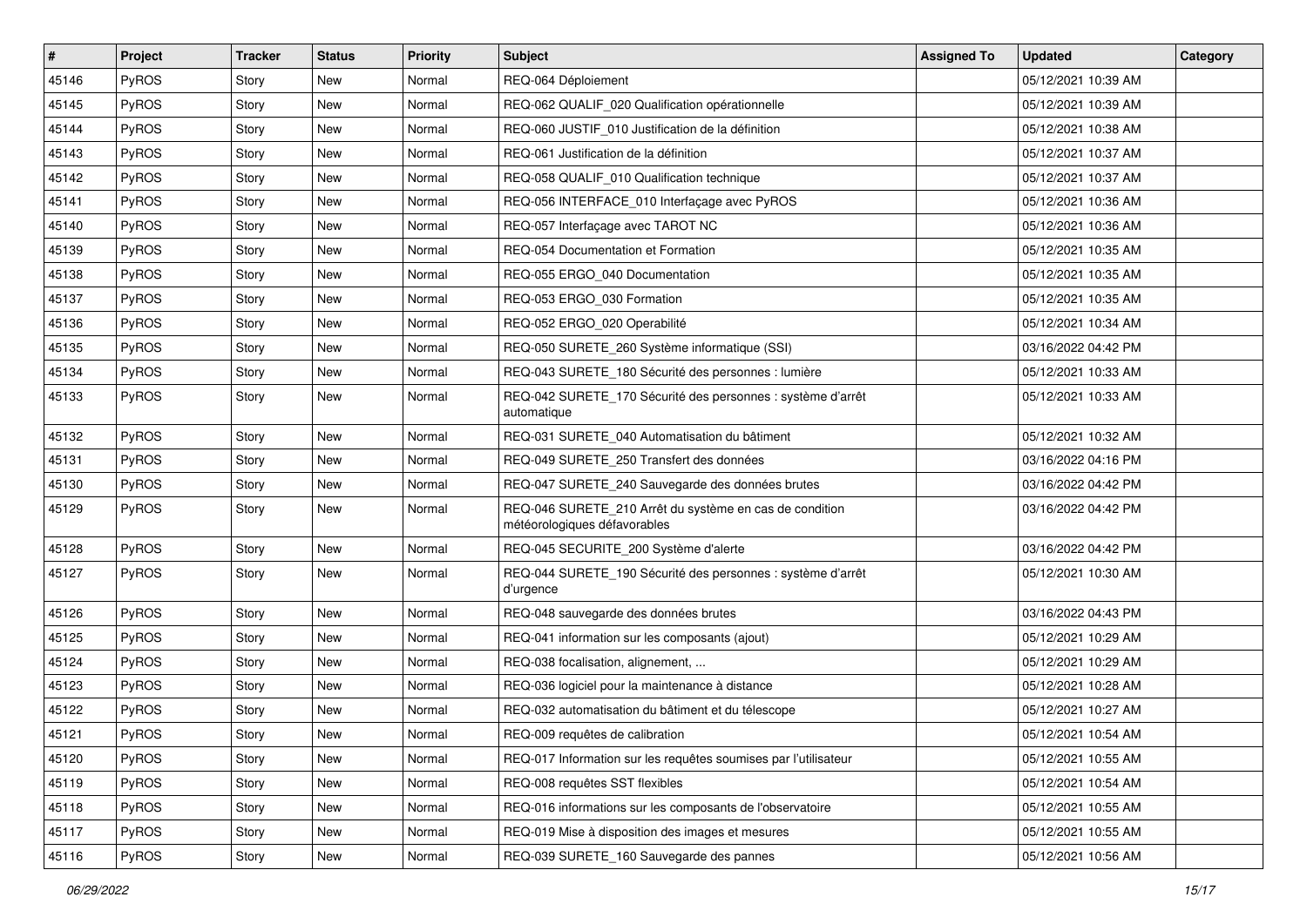| $\sharp$ | Project      | <b>Tracker</b> | <b>Status</b> | <b>Priority</b> | Subject                                                                                 | <b>Assigned To</b> | <b>Updated</b>      | Category |
|----------|--------------|----------------|---------------|-----------------|-----------------------------------------------------------------------------------------|--------------------|---------------------|----------|
| 45146    | PyROS        | Story          | New           | Normal          | REQ-064 Déploiement                                                                     |                    | 05/12/2021 10:39 AM |          |
| 45145    | PyROS        | Story          | <b>New</b>    | Normal          | REQ-062 QUALIF_020 Qualification opérationnelle                                         |                    | 05/12/2021 10:39 AM |          |
| 45144    | <b>PyROS</b> | Story          | New           | Normal          | REQ-060 JUSTIF 010 Justification de la définition                                       |                    | 05/12/2021 10:38 AM |          |
| 45143    | PyROS        | Story          | <b>New</b>    | Normal          | REQ-061 Justification de la définition                                                  |                    | 05/12/2021 10:37 AM |          |
| 45142    | PyROS        | Story          | <b>New</b>    | Normal          | REQ-058 QUALIF_010 Qualification technique                                              |                    | 05/12/2021 10:37 AM |          |
| 45141    | PyROS        | Story          | New           | Normal          | REQ-056 INTERFACE_010 Interfaçage avec PyROS                                            |                    | 05/12/2021 10:36 AM |          |
| 45140    | PyROS        | Story          | <b>New</b>    | Normal          | REQ-057 Interfaçage avec TAROT NC                                                       |                    | 05/12/2021 10:36 AM |          |
| 45139    | <b>PyROS</b> | Story          | New           | Normal          | REQ-054 Documentation et Formation                                                      |                    | 05/12/2021 10:35 AM |          |
| 45138    | PyROS        | Story          | New           | Normal          | REQ-055 ERGO 040 Documentation                                                          |                    | 05/12/2021 10:35 AM |          |
| 45137    | PyROS        | Story          | <b>New</b>    | Normal          | REQ-053 ERGO_030 Formation                                                              |                    | 05/12/2021 10:35 AM |          |
| 45136    | <b>PyROS</b> | Story          | New           | Normal          | REQ-052 ERGO_020 Operabilité                                                            |                    | 05/12/2021 10:34 AM |          |
| 45135    | PyROS        | Story          | New           | Normal          | REQ-050 SURETE_260 Système informatique (SSI)                                           |                    | 03/16/2022 04:42 PM |          |
| 45134    | PyROS        | Story          | New           | Normal          | REQ-043 SURETE 180 Sécurité des personnes : lumière                                     |                    | 05/12/2021 10:33 AM |          |
| 45133    | PyROS        | Story          | New           | Normal          | REQ-042 SURETE_170 Sécurité des personnes : système d'arrêt<br>automatique              |                    | 05/12/2021 10:33 AM |          |
| 45132    | <b>PyROS</b> | Story          | <b>New</b>    | Normal          | REQ-031 SURETE 040 Automatisation du bâtiment                                           |                    | 05/12/2021 10:32 AM |          |
| 45131    | PyROS        | Story          | New           | Normal          | REQ-049 SURETE 250 Transfert des données                                                |                    | 03/16/2022 04:16 PM |          |
| 45130    | PyROS        | Story          | <b>New</b>    | Normal          | REQ-047 SURETE_240 Sauvegarde des données brutes                                        |                    | 03/16/2022 04:42 PM |          |
| 45129    | PyROS        | Story          | New           | Normal          | REQ-046 SURETE_210 Arrêt du système en cas de condition<br>météorologiques défavorables |                    | 03/16/2022 04:42 PM |          |
| 45128    | PyROS        | Story          | <b>New</b>    | Normal          | REQ-045 SECURITE_200 Système d'alerte                                                   |                    | 03/16/2022 04:42 PM |          |
| 45127    | PyROS        | Story          | New           | Normal          | REQ-044 SURETE_190 Sécurité des personnes : système d'arrêt<br>d'urgence                |                    | 05/12/2021 10:30 AM |          |
| 45126    | PyROS        | Story          | New           | Normal          | REQ-048 sauvegarde des données brutes                                                   |                    | 03/16/2022 04:43 PM |          |
| 45125    | PyROS        | Story          | <b>New</b>    | Normal          | REQ-041 information sur les composants (ajout)                                          |                    | 05/12/2021 10:29 AM |          |
| 45124    | PyROS        | Story          | <b>New</b>    | Normal          | REQ-038 focalisation, alignement,                                                       |                    | 05/12/2021 10:29 AM |          |
| 45123    | PyROS        | Story          | New           | Normal          | REQ-036 logiciel pour la maintenance à distance                                         |                    | 05/12/2021 10:28 AM |          |
| 45122    | PyROS        | Story          | <b>New</b>    | Normal          | REQ-032 automatisation du bâtiment et du télescope                                      |                    | 05/12/2021 10:27 AM |          |
| 45121    | PyROS        | Story          | New           | Normal          | REQ-009 requêtes de calibration                                                         |                    | 05/12/2021 10:54 AM |          |
| 45120    | PyROS        | Story          | New           | Normal          | REQ-017 Information sur les requêtes soumises par l'utilisateur                         |                    | 05/12/2021 10:55 AM |          |
| 45119    | PyROS        | Story          | New           | Normal          | REQ-008 requêtes SST flexibles                                                          |                    | 05/12/2021 10:54 AM |          |
| 45118    | PyROS        | Story          | New           | Normal          | REQ-016 informations sur les composants de l'observatoire                               |                    | 05/12/2021 10:55 AM |          |
| 45117    | <b>PyROS</b> | Story          | New           | Normal          | REQ-019 Mise à disposition des images et mesures                                        |                    | 05/12/2021 10:55 AM |          |
| 45116    | PyROS        | Story          | New           | Normal          | REQ-039 SURETE_160 Sauvegarde des pannes                                                |                    | 05/12/2021 10:56 AM |          |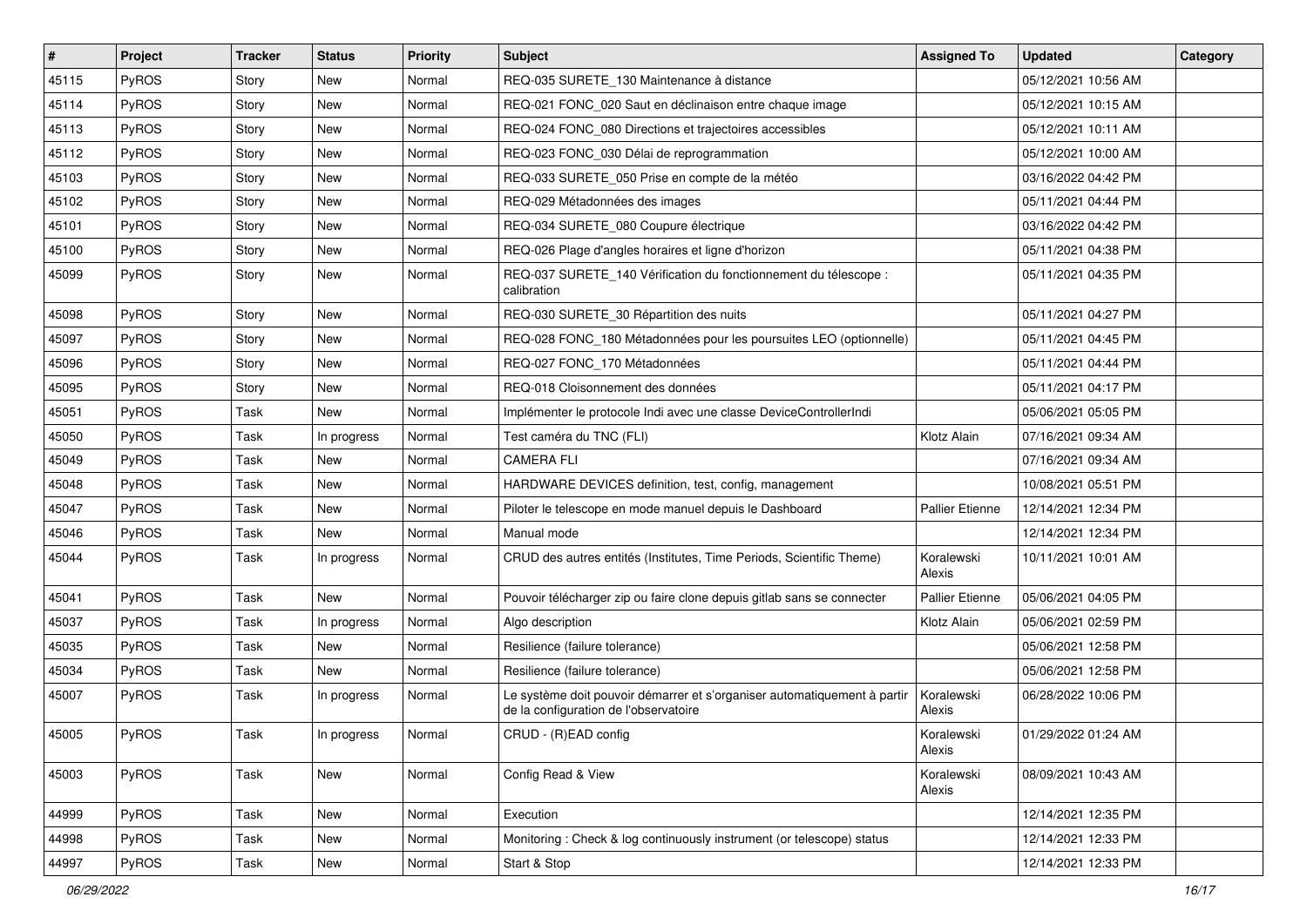| ∦     | Project      | <b>Tracker</b> | <b>Status</b> | <b>Priority</b> | Subject                                                                                                           | <b>Assigned To</b>     | <b>Updated</b>      | Category |
|-------|--------------|----------------|---------------|-----------------|-------------------------------------------------------------------------------------------------------------------|------------------------|---------------------|----------|
| 45115 | PyROS        | Story          | <b>New</b>    | Normal          | REQ-035 SURETE_130 Maintenance à distance                                                                         |                        | 05/12/2021 10:56 AM |          |
| 45114 | PyROS        | Story          | <b>New</b>    | Normal          | REQ-021 FONC_020 Saut en déclinaison entre chaque image                                                           |                        | 05/12/2021 10:15 AM |          |
| 45113 | <b>PyROS</b> | Story          | New           | Normal          | REQ-024 FONC_080 Directions et trajectoires accessibles                                                           |                        | 05/12/2021 10:11 AM |          |
| 45112 | PyROS        | Story          | <b>New</b>    | Normal          | REQ-023 FONC 030 Délai de reprogrammation                                                                         |                        | 05/12/2021 10:00 AM |          |
| 45103 | PyROS        | Story          | <b>New</b>    | Normal          | REQ-033 SURETE_050 Prise en compte de la météo                                                                    |                        | 03/16/2022 04:42 PM |          |
| 45102 | PyROS        | Story          | New           | Normal          | REQ-029 Métadonnées des images                                                                                    |                        | 05/11/2021 04:44 PM |          |
| 45101 | PyROS        | Story          | <b>New</b>    | Normal          | REQ-034 SURETE_080 Coupure électrique                                                                             |                        | 03/16/2022 04:42 PM |          |
| 45100 | <b>PyROS</b> | Story          | New           | Normal          | REQ-026 Plage d'angles horaires et ligne d'horizon                                                                |                        | 05/11/2021 04:38 PM |          |
| 45099 | PyROS        | Story          | New           | Normal          | REQ-037 SURETE_140 Vérification du fonctionnement du télescope :<br>calibration                                   |                        | 05/11/2021 04:35 PM |          |
| 45098 | PyROS        | Story          | New           | Normal          | REQ-030 SURETE 30 Répartition des nuits                                                                           |                        | 05/11/2021 04:27 PM |          |
| 45097 | PyROS        | Story          | <b>New</b>    | Normal          | REQ-028 FONC_180 Métadonnées pour les poursuites LEO (optionnelle)                                                |                        | 05/11/2021 04:45 PM |          |
| 45096 | PyROS        | Story          | New           | Normal          | REQ-027 FONC 170 Métadonnées                                                                                      |                        | 05/11/2021 04:44 PM |          |
| 45095 | PyROS        | Story          | New           | Normal          | REQ-018 Cloisonnement des données                                                                                 |                        | 05/11/2021 04:17 PM |          |
| 45051 | PyROS        | Task           | <b>New</b>    | Normal          | Implémenter le protocole Indi avec une classe DeviceControllerIndi                                                |                        | 05/06/2021 05:05 PM |          |
| 45050 | PyROS        | Task           | In progress   | Normal          | Test caméra du TNC (FLI)                                                                                          | Klotz Alain            | 07/16/2021 09:34 AM |          |
| 45049 | PyROS        | Task           | <b>New</b>    | Normal          | <b>CAMERA FLI</b>                                                                                                 |                        | 07/16/2021 09:34 AM |          |
| 45048 | PyROS        | Task           | <b>New</b>    | Normal          | HARDWARE DEVICES definition, test, config, management                                                             |                        | 10/08/2021 05:51 PM |          |
| 45047 | PyROS        | Task           | New           | Normal          | Piloter le telescope en mode manuel depuis le Dashboard                                                           | <b>Pallier Etienne</b> | 12/14/2021 12:34 PM |          |
| 45046 | PyROS        | Task           | <b>New</b>    | Normal          | Manual mode                                                                                                       |                        | 12/14/2021 12:34 PM |          |
| 45044 | PyROS        | Task           | In progress   | Normal          | CRUD des autres entités (Institutes, Time Periods, Scientific Theme)                                              | Koralewski<br>Alexis   | 10/11/2021 10:01 AM |          |
| 45041 | PyROS        | Task           | <b>New</b>    | Normal          | Pouvoir télécharger zip ou faire clone depuis gitlab sans se connecter                                            | <b>Pallier Etienne</b> | 05/06/2021 04:05 PM |          |
| 45037 | <b>PyROS</b> | Task           | In progress   | Normal          | Algo description                                                                                                  | Klotz Alain            | 05/06/2021 02:59 PM |          |
| 45035 | PyROS        | Task           | New           | Normal          | Resilience (failure tolerance)                                                                                    |                        | 05/06/2021 12:58 PM |          |
| 45034 | PyROS        | Task           | <b>New</b>    | Normal          | Resilience (failure tolerance)                                                                                    |                        | 05/06/2021 12:58 PM |          |
| 45007 | PyROS        | Task           | In progress   | Normal          | Le système doit pouvoir démarrer et s'organiser automatiquement à partir<br>de la configuration de l'observatoire | Koralewski<br>Alexis   | 06/28/2022 10:06 PM |          |
| 45005 | PyROS        | Task           | In progress   | Normal          | CRUD - (R)EAD config                                                                                              | Koralewski<br>Alexis   | 01/29/2022 01:24 AM |          |
| 45003 | PyROS        | Task           | New           | Normal          | Config Read & View                                                                                                | Koralewski<br>Alexis   | 08/09/2021 10:43 AM |          |
| 44999 | PyROS        | Task           | New           | Normal          | Execution                                                                                                         |                        | 12/14/2021 12:35 PM |          |
| 44998 | PyROS        | Task           | New           | Normal          | Monitoring: Check & log continuously instrument (or telescope) status                                             |                        | 12/14/2021 12:33 PM |          |
| 44997 | PyROS        | Task           | New           | Normal          | Start & Stop                                                                                                      |                        | 12/14/2021 12:33 PM |          |